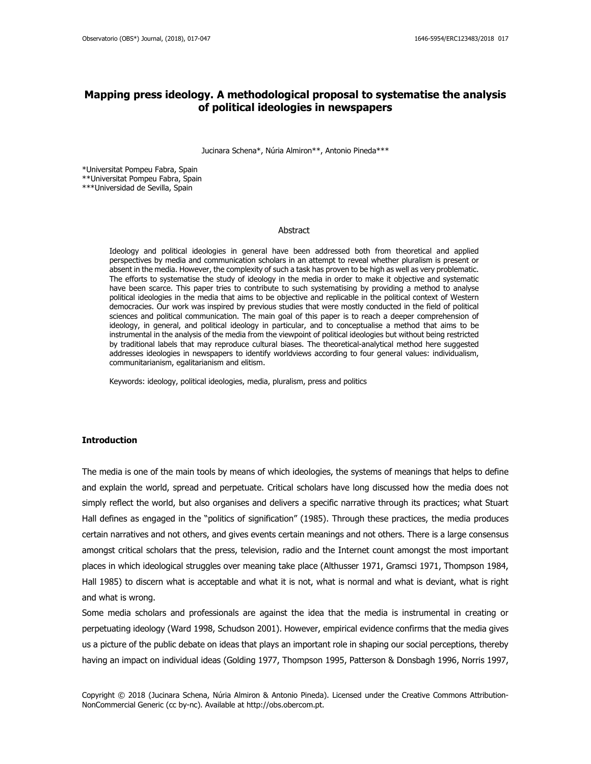## **Mapping press ideology. A methodological proposal to systematise the analysis of political ideologies in newspapers**

Jucinara Schena\*, Núria Almiron\*\*, Antonio Pineda\*\*\*

\*Universitat Pompeu Fabra, Spain \*\*Universitat Pompeu Fabra, Spain \*\*\*Universidad de Sevilla, Spain

#### Abstract

Ideology and political ideologies in general have been addressed both from theoretical and applied perspectives by media and communication scholars in an attempt to reveal whether pluralism is present or absent in the media. However, the complexity of such a task has proven to be high as well as very problematic. The efforts to systematise the study of ideology in the media in order to make it objective and systematic have been scarce. This paper tries to contribute to such systematising by providing a method to analyse political ideologies in the media that aims to be objective and replicable in the political context of Western democracies. Our work was inspired by previous studies that were mostly conducted in the field of political sciences and political communication. The main goal of this paper is to reach a deeper comprehension of ideology, in general, and political ideology in particular, and to conceptualise a method that aims to be instrumental in the analysis of the media from the viewpoint of political ideologies but without being restricted by traditional labels that may reproduce cultural biases. The theoretical-analytical method here suggested addresses ideologies in newspapers to identify worldviews according to four general values: individualism, communitarianism, egalitarianism and elitism.

Keywords: ideology, political ideologies, media, pluralism, press and politics

#### **Introduction**

The media is one of the main tools by means of which ideologies, the systems of meanings that helps to define and explain the world, spread and perpetuate. Critical scholars have long discussed how the media does not simply reflect the world, but also organises and delivers a specific narrative through its practices; what Stuart Hall defines as engaged in the "politics of signification" (1985). Through these practices, the media produces certain narratives and not others, and gives events certain meanings and not others. There is a large consensus amongst critical scholars that the press, television, radio and the Internet count amongst the most important places in which ideological struggles over meaning take place (Althusser 1971, Gramsci 1971, Thompson 1984, Hall 1985) to discern what is acceptable and what it is not, what is normal and what is deviant, what is right and what is wrong.

Some media scholars and professionals are against the idea that the media is instrumental in creating or perpetuating ideology (Ward 1998, Schudson 2001). However, empirical evidence confirms that the media gives us a picture of the public debate on ideas that plays an important role in shaping our social perceptions, thereby having an impact on individual ideas (Golding 1977, Thompson 1995, Patterson & Donsbagh 1996, Norris 1997,

Copyright © 2018 (Jucinara Schena, Núria Almiron & Antonio Pineda). Licensed under the Creative Commons Attribution-NonCommercial Generic (cc by-nc). Available at http://obs.obercom.pt.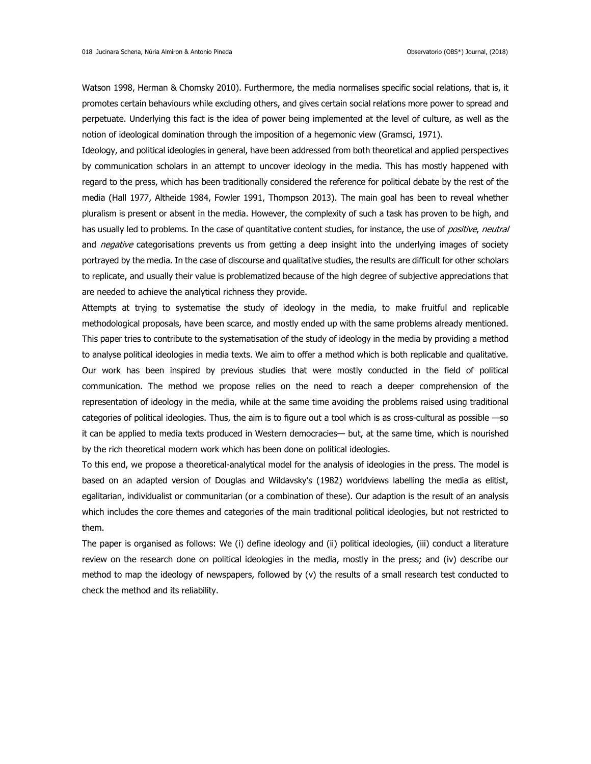Watson 1998, Herman & Chomsky 2010). Furthermore, the media normalises specific social relations, that is, it promotes certain behaviours while excluding others, and gives certain social relations more power to spread and perpetuate. Underlying this fact is the idea of power being implemented at the level of culture, as well as the notion of ideological domination through the imposition of a hegemonic view (Gramsci, 1971).

Ideology, and political ideologies in general, have been addressed from both theoretical and applied perspectives by communication scholars in an attempt to uncover ideology in the media. This has mostly happened with regard to the press, which has been traditionally considered the reference for political debate by the rest of the media (Hall 1977, Altheide 1984, Fowler 1991, Thompson 2013). The main goal has been to reveal whether pluralism is present or absent in the media. However, the complexity of such a task has proven to be high, and has usually led to problems. In the case of quantitative content studies, for instance, the use of *positive, neutral* and *negative* categorisations prevents us from getting a deep insight into the underlying images of society portrayed by the media. In the case of discourse and qualitative studies, the results are difficult for other scholars to replicate, and usually their value is problematized because of the high degree of subjective appreciations that are needed to achieve the analytical richness they provide.

Attempts at trying to systematise the study of ideology in the media, to make fruitful and replicable methodological proposals, have been scarce, and mostly ended up with the same problems already mentioned. This paper tries to contribute to the systematisation of the study of ideology in the media by providing a method to analyse political ideologies in media texts. We aim to offer a method which is both replicable and qualitative. Our work has been inspired by previous studies that were mostly conducted in the field of political communication. The method we propose relies on the need to reach a deeper comprehension of the representation of ideology in the media, while at the same time avoiding the problems raised using traditional categories of political ideologies. Thus, the aim is to figure out a tool which is as cross-cultural as possible —so it can be applied to media texts produced in Western democracies— but, at the same time, which is nourished by the rich theoretical modern work which has been done on political ideologies.

To this end, we propose a theoretical-analytical model for the analysis of ideologies in the press. The model is based on an adapted version of Douglas and Wildavsky's (1982) worldviews labelling the media as elitist, egalitarian, individualist or communitarian (or a combination of these). Our adaption is the result of an analysis which includes the core themes and categories of the main traditional political ideologies, but not restricted to them.

The paper is organised as follows: We (i) define ideology and (ii) political ideologies, (iii) conduct a literature review on the research done on political ideologies in the media, mostly in the press; and (iv) describe our method to map the ideology of newspapers, followed by (v) the results of a small research test conducted to check the method and its reliability.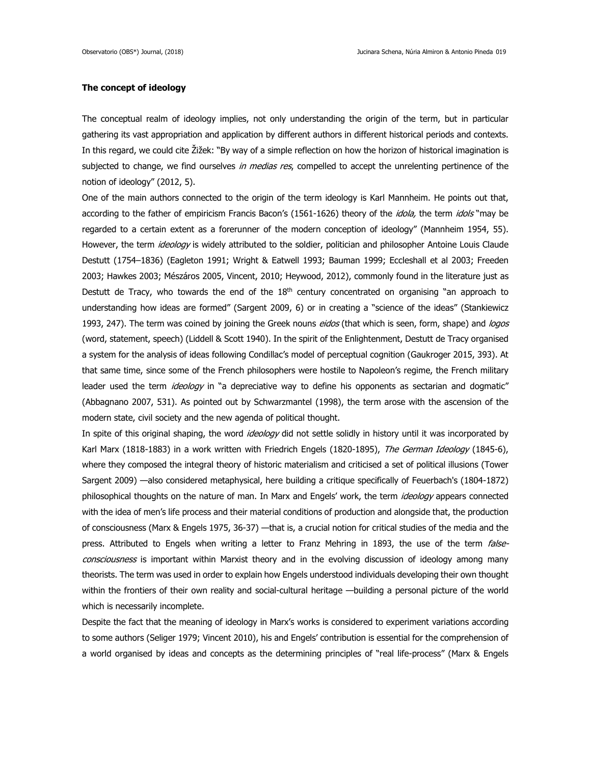## **The concept of ideology**

The conceptual realm of ideology implies, not only understanding the origin of the term, but in particular gathering its vast appropriation and application by different authors in different historical periods and contexts. In this regard, we could cite Žižek: "By way of a simple reflection on how the horizon of historical imagination is subjected to change, we find ourselves in medias res, compelled to accept the unrelenting pertinence of the notion of ideology" (2012, 5).

One of the main authors connected to the origin of the term ideology is Karl Mannheim. He points out that, according to the father of empiricism Francis Bacon's (1561-1626) theory of the *idola*, the term *idols* "may be regarded to a certain extent as a forerunner of the modern conception of ideology" (Mannheim 1954, 55). However, the term *ideology* is widely attributed to the soldier, politician and philosopher Antoine Louis Claude Destutt (1754–1836) (Eagleton 1991; Wright & Eatwell 1993; Bauman 1999; Eccleshall et al 2003; Freeden 2003; Hawkes 2003; Mészáros 2005, Vincent, 2010; Heywood, 2012), commonly found in the literature just as Destutt de Tracy, who towards the end of the 18<sup>th</sup> century concentrated on organising "an approach to understanding how ideas are formed" (Sargent 2009, 6) or in creating a "science of the ideas" (Stankiewicz 1993, 247). The term was coined by joining the Greek nouns eidos (that which is seen, form, shape) and logos (word, statement, speech) (Liddell & Scott 1940). In the spirit of the Enlightenment, Destutt de Tracy organised a system for the analysis of ideas following Condillac's model of perceptual cognition (Gaukroger 2015, 393). At that same time, since some of the French philosophers were hostile to Napoleon's regime, the French military leader used the term *ideology* in "a depreciative way to define his opponents as sectarian and dogmatic" (Abbagnano 2007, 531). As pointed out by Schwarzmantel (1998), the term arose with the ascension of the modern state, civil society and the new agenda of political thought.

In spite of this original shaping, the word *ideology* did not settle solidly in history until it was incorporated by Karl Marx (1818-1883) in a work written with Friedrich Engels (1820-1895), The German Ideology (1845-6), where they composed the integral theory of historic materialism and criticised a set of political illusions (Tower Sargent 2009) —also considered metaphysical, here building a critique specifically of Feuerbach's (1804-1872) philosophical thoughts on the nature of man. In Marx and Engels' work, the term *ideology* appears connected with the idea of men's life process and their material conditions of production and alongside that, the production of consciousness (Marx & Engels 1975, 36-37) —that is, a crucial notion for critical studies of the media and the press. Attributed to Engels when writing a letter to Franz Mehring in 1893, the use of the term falseconsciousness is important within Marxist theory and in the evolving discussion of ideology among many theorists. The term was used in order to explain how Engels understood individuals developing their own thought within the frontiers of their own reality and social-cultural heritage —building a personal picture of the world which is necessarily incomplete.

Despite the fact that the meaning of ideology in Marx's works is considered to experiment variations according to some authors (Seliger 1979; Vincent 2010), his and Engels' contribution is essential for the comprehension of a world organised by ideas and concepts as the determining principles of "real life-process" (Marx & Engels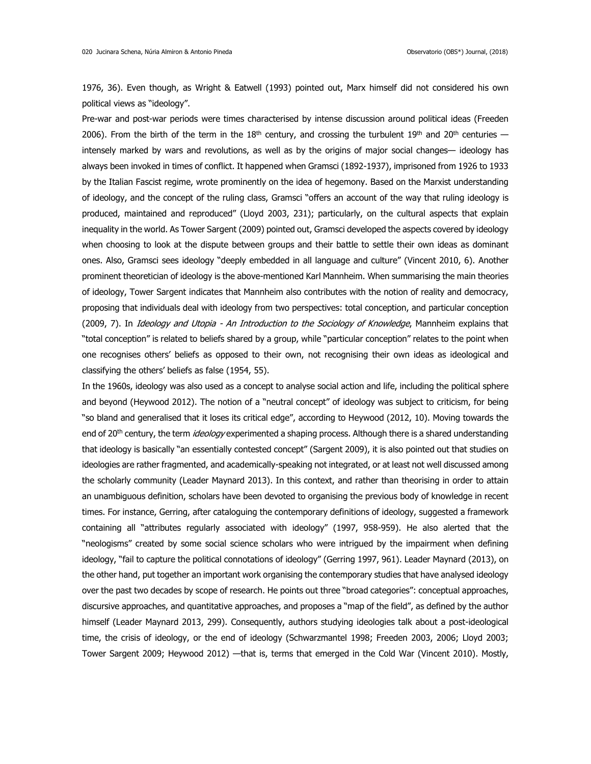1976, 36). Even though, as Wright & Eatwell (1993) pointed out, Marx himself did not considered his own political views as "ideology".

Pre-war and post-war periods were times characterised by intense discussion around political ideas (Freeden 2006). From the birth of the term in the 18<sup>th</sup> century, and crossing the turbulent 19<sup>th</sup> and 20<sup>th</sup> centuries intensely marked by wars and revolutions, as well as by the origins of major social changes— ideology has always been invoked in times of conflict. It happened when Gramsci (1892-1937), imprisoned from 1926 to 1933 by the Italian Fascist regime, wrote prominently on the idea of hegemony. Based on the Marxist understanding of ideology, and the concept of the ruling class, Gramsci "offers an account of the way that ruling ideology is produced, maintained and reproduced" (Lloyd 2003, 231); particularly, on the cultural aspects that explain inequality in the world. As Tower Sargent (2009) pointed out, Gramsci developed the aspects covered by ideology when choosing to look at the dispute between groups and their battle to settle their own ideas as dominant ones. Also, Gramsci sees ideology "deeply embedded in all language and culture" (Vincent 2010, 6). Another prominent theoretician of ideology is the above-mentioned Karl Mannheim. When summarising the main theories of ideology, Tower Sargent indicates that Mannheim also contributes with the notion of reality and democracy, proposing that individuals deal with ideology from two perspectives: total conception, and particular conception (2009, 7). In *Ideology and Utopia - An Introduction to the Sociology of Knowledge*, Mannheim explains that "total conception" is related to beliefs shared by a group, while "particular conception" relates to the point when one recognises others' beliefs as opposed to their own, not recognising their own ideas as ideological and classifying the others' beliefs as false (1954, 55).

In the 1960s, ideology was also used as a concept to analyse social action and life, including the political sphere and beyond (Heywood 2012). The notion of a "neutral concept" of ideology was subject to criticism, for being "so bland and generalised that it loses its critical edge", according to Heywood (2012, 10). Moving towards the end of 20<sup>th</sup> century, the term *ideology* experimented a shaping process. Although there is a shared understanding that ideology is basically "an essentially contested concept" (Sargent 2009), it is also pointed out that studies on ideologies are rather fragmented, and academically-speaking not integrated, or at least not well discussed among the scholarly community (Leader Maynard 2013). In this context, and rather than theorising in order to attain an unambiguous definition, scholars have been devoted to organising the previous body of knowledge in recent times. For instance, Gerring, after cataloguing the contemporary definitions of ideology, suggested a framework containing all "attributes regularly associated with ideology" (1997, 958-959). He also alerted that the "neologisms" created by some social science scholars who were intrigued by the impairment when defining ideology, "fail to capture the political connotations of ideology" (Gerring 1997, 961). Leader Maynard (2013), on the other hand, put together an important work organising the contemporary studies that have analysed ideology over the past two decades by scope of research. He points out three "broad categories": conceptual approaches, discursive approaches, and quantitative approaches, and proposes a "map of the field", as defined by the author himself (Leader Maynard 2013, 299). Consequently, authors studying ideologies talk about a post-ideological time, the crisis of ideology, or the end of ideology (Schwarzmantel 1998; Freeden 2003, 2006; Lloyd 2003; Tower Sargent 2009; Heywood 2012) —that is, terms that emerged in the Cold War (Vincent 2010). Mostly,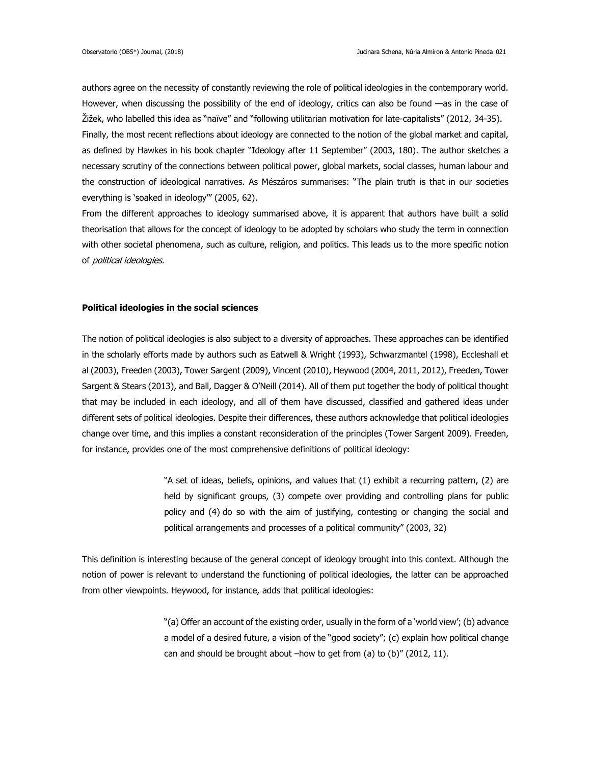authors agree on the necessity of constantly reviewing the role of political ideologies in the contemporary world. However, when discussing the possibility of the end of ideology, critics can also be found —as in the case of Žižek, who labelled this idea as "naïve" and "following utilitarian motivation for late-capitalists" (2012, 34-35). Finally, the most recent reflections about ideology are connected to the notion of the global market and capital, as defined by Hawkes in his book chapter "Ideology after 11 September" (2003, 180). The author sketches a necessary scrutiny of the connections between political power, global markets, social classes, human labour and the construction of ideological narratives. As Mészáros summarises: "The plain truth is that in our societies everything is 'soaked in ideology'" (2005, 62).

From the different approaches to ideology summarised above, it is apparent that authors have built a solid theorisation that allows for the concept of ideology to be adopted by scholars who study the term in connection with other societal phenomena, such as culture, religion, and politics. This leads us to the more specific notion of political ideologies.

## **Political ideologies in the social sciences**

The notion of political ideologies is also subject to a diversity of approaches. These approaches can be identified in the scholarly efforts made by authors such as Eatwell & Wright (1993), Schwarzmantel (1998), Eccleshall et al (2003), Freeden (2003), Tower Sargent (2009), Vincent (2010), Heywood (2004, 2011, 2012), Freeden, Tower Sargent & Stears (2013), and Ball, Dagger & O'Neill (2014). All of them put together the body of political thought that may be included in each ideology, and all of them have discussed, classified and gathered ideas under different sets of political ideologies. Despite their differences, these authors acknowledge that political ideologies change over time, and this implies a constant reconsideration of the principles (Tower Sargent 2009). Freeden, for instance, provides one of the most comprehensive definitions of political ideology:

> "A set of ideas, beliefs, opinions, and values that (1) exhibit a recurring pattern, (2) are held by significant groups, (3) compete over providing and controlling plans for public policy and (4) do so with the aim of justifying, contesting or changing the social and political arrangements and processes of a political community" (2003, 32)

This definition is interesting because of the general concept of ideology brought into this context. Although the notion of power is relevant to understand the functioning of political ideologies, the latter can be approached from other viewpoints. Heywood, for instance, adds that political ideologies:

> "(a) Offer an account of the existing order, usually in the form of a 'world view'; (b) advance a model of a desired future, a vision of the "good society"; (c) explain how political change can and should be brought about –how to get from (a) to (b)" (2012, 11).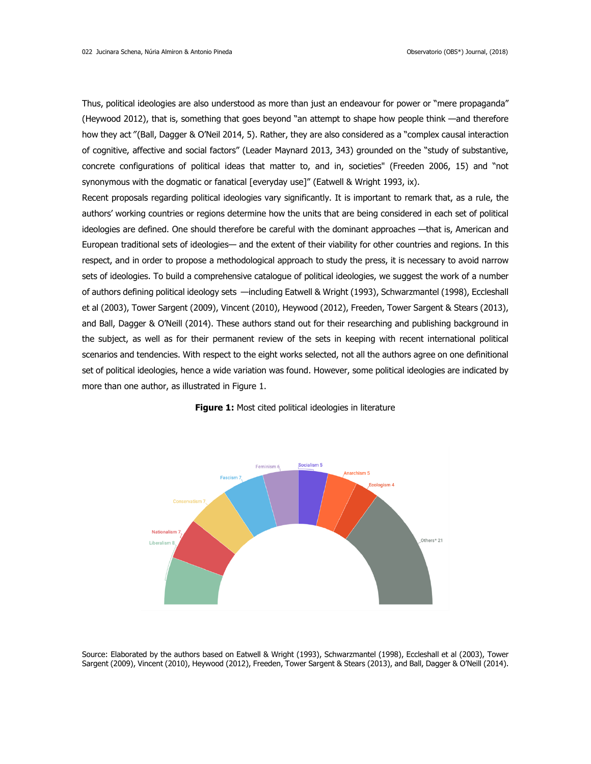Thus, political ideologies are also understood as more than just an endeavour for power or "mere propaganda" (Heywood 2012), that is, something that goes beyond "an attempt to shape how people think —and therefore how they act "(Ball, Dagger & O'Neil 2014, 5). Rather, they are also considered as a "complex causal interaction of cognitive, affective and social factors" (Leader Maynard 2013, 343) grounded on the "study of substantive, concrete configurations of political ideas that matter to, and in, societies" (Freeden 2006, 15) and "not synonymous with the dogmatic or fanatical [everyday use]" (Eatwell & Wright 1993, ix).

Recent proposals regarding political ideologies vary significantly. It is important to remark that, as a rule, the authors' working countries or regions determine how the units that are being considered in each set of political ideologies are defined. One should therefore be careful with the dominant approaches —that is, American and European traditional sets of ideologies— and the extent of their viability for other countries and regions. In this respect, and in order to propose a methodological approach to study the press, it is necessary to avoid narrow sets of ideologies. To build a comprehensive catalogue of political ideologies, we suggest the work of a number of authors defining political ideology sets —including Eatwell & Wright (1993), Schwarzmantel (1998), Eccleshall et al (2003), Tower Sargent (2009), Vincent (2010), Heywood (2012), Freeden, Tower Sargent & Stears (2013), and Ball, Dagger & O'Neill (2014). These authors stand out for their researching and publishing background in the subject, as well as for their permanent review of the sets in keeping with recent international political scenarios and tendencies. With respect to the eight works selected, not all the authors agree on one definitional set of political ideologies, hence a wide variation was found. However, some political ideologies are indicated by more than one author, as illustrated in Figure 1.



**Figure 1:** Most cited political ideologies in literature

Source: Elaborated by the authors based on Eatwell & Wright (1993), Schwarzmantel (1998), Eccleshall et al (2003), Tower Sargent (2009), Vincent (2010), Heywood (2012), Freeden, Tower Sargent & Stears (2013), and Ball, Dagger & O'Neill (2014).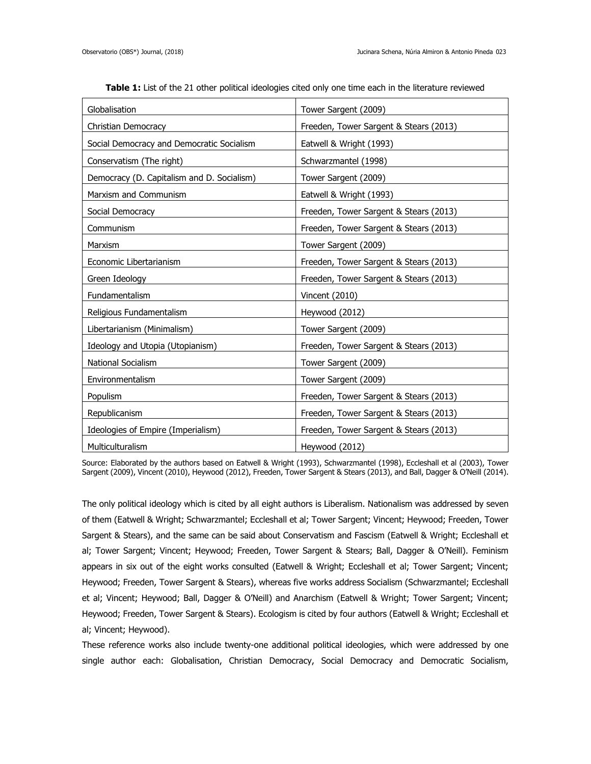| Globalisation                              | Tower Sargent (2009)                   |
|--------------------------------------------|----------------------------------------|
| Christian Democracy                        | Freeden, Tower Sargent & Stears (2013) |
| Social Democracy and Democratic Socialism  | Eatwell & Wright (1993)                |
| Conservatism (The right)                   | Schwarzmantel (1998)                   |
| Democracy (D. Capitalism and D. Socialism) | Tower Sargent (2009)                   |
| Marxism and Communism                      | Eatwell & Wright (1993)                |
| Social Democracy                           | Freeden, Tower Sargent & Stears (2013) |
| Communism                                  | Freeden, Tower Sargent & Stears (2013) |
| Marxism                                    | Tower Sargent (2009)                   |
| Economic Libertarianism                    | Freeden, Tower Sargent & Stears (2013) |
| Green Ideology                             | Freeden, Tower Sargent & Stears (2013) |
| Fundamentalism                             | Vincent (2010)                         |
| Religious Fundamentalism                   | Heywood (2012)                         |
| Libertarianism (Minimalism)                | Tower Sargent (2009)                   |
| Ideology and Utopia (Utopianism)           | Freeden, Tower Sargent & Stears (2013) |
| National Socialism                         | Tower Sargent (2009)                   |
| Environmentalism                           | Tower Sargent (2009)                   |
| Populism                                   | Freeden, Tower Sargent & Stears (2013) |
| Republicanism                              | Freeden, Tower Sargent & Stears (2013) |
| Ideologies of Empire (Imperialism)         | Freeden, Tower Sargent & Stears (2013) |
| Multiculturalism                           | Heywood (2012)                         |

**Table 1:** List of the 21 other political ideologies cited only one time each in the literature reviewed

Source: Elaborated by the authors based on Eatwell & Wright (1993), Schwarzmantel (1998), Eccleshall et al (2003), Tower Sargent (2009), Vincent (2010), Heywood (2012), Freeden, Tower Sargent & Stears (2013), and Ball, Dagger & O'Neill (2014).

The only political ideology which is cited by all eight authors is Liberalism. Nationalism was addressed by seven of them (Eatwell & Wright; Schwarzmantel; Eccleshall et al; Tower Sargent; Vincent; Heywood; Freeden, Tower Sargent & Stears), and the same can be said about Conservatism and Fascism (Eatwell & Wright; Eccleshall et al; Tower Sargent; Vincent; Heywood; Freeden, Tower Sargent & Stears; Ball, Dagger & O'Neill). Feminism appears in six out of the eight works consulted (Eatwell & Wright; Eccleshall et al; Tower Sargent; Vincent; Heywood; Freeden, Tower Sargent & Stears), whereas five works address Socialism (Schwarzmantel; Eccleshall et al; Vincent; Heywood; Ball, Dagger & O'Neill) and Anarchism (Eatwell & Wright; Tower Sargent; Vincent; Heywood; Freeden, Tower Sargent & Stears). Ecologism is cited by four authors (Eatwell & Wright; Eccleshall et al; Vincent; Heywood).

These reference works also include twenty-one additional political ideologies, which were addressed by one single author each: Globalisation, Christian Democracy, Social Democracy and Democratic Socialism,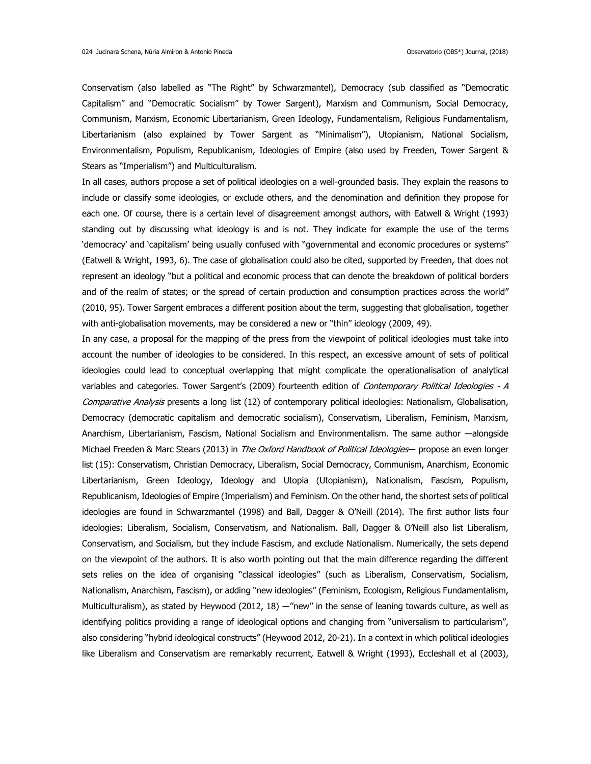Conservatism (also labelled as "The Right" by Schwarzmantel), Democracy (sub classified as "Democratic Capitalism" and "Democratic Socialism" by Tower Sargent), Marxism and Communism, Social Democracy, Communism, Marxism, Economic Libertarianism, Green Ideology, Fundamentalism, Religious Fundamentalism, Libertarianism (also explained by Tower Sargent as "Minimalism"), Utopianism, National Socialism, Environmentalism, Populism, Republicanism, Ideologies of Empire (also used by Freeden, Tower Sargent & Stears as "Imperialism") and Multiculturalism.

In all cases, authors propose a set of political ideologies on a well-grounded basis. They explain the reasons to include or classify some ideologies, or exclude others, and the denomination and definition they propose for each one. Of course, there is a certain level of disagreement amongst authors, with Eatwell & Wright (1993) standing out by discussing what ideology is and is not. They indicate for example the use of the terms 'democracy' and 'capitalism' being usually confused with "governmental and economic procedures or systems" (Eatwell & Wright, 1993, 6). The case of globalisation could also be cited, supported by Freeden, that does not represent an ideology "but a political and economic process that can denote the breakdown of political borders and of the realm of states; or the spread of certain production and consumption practices across the world" (2010, 95). Tower Sargent embraces a different position about the term, suggesting that globalisation, together with anti-globalisation movements, may be considered a new or "thin" ideology (2009, 49).

In any case, a proposal for the mapping of the press from the viewpoint of political ideologies must take into account the number of ideologies to be considered. In this respect, an excessive amount of sets of political ideologies could lead to conceptual overlapping that might complicate the operationalisation of analytical variables and categories. Tower Sargent's (2009) fourteenth edition of Contemporary Political Ideologies - A Comparative Analysis presents a long list (12) of contemporary political ideologies: Nationalism, Globalisation, Democracy (democratic capitalism and democratic socialism), Conservatism, Liberalism, Feminism, Marxism, Anarchism, Libertarianism, Fascism, National Socialism and Environmentalism. The same author ―alongside Michael Freeden & Marc Stears (2013) in The Oxford Handbook of Political Ideologies- propose an even longer list (15): Conservatism, Christian Democracy, Liberalism, Social Democracy, Communism, Anarchism, Economic Libertarianism, Green Ideology, Ideology and Utopia (Utopianism), Nationalism, Fascism, Populism, Republicanism, Ideologies of Empire (Imperialism) and Feminism. On the other hand, the shortest sets of political ideologies are found in Schwarzmantel (1998) and Ball, Dagger & O'Neill (2014). The first author lists four ideologies: Liberalism, Socialism, Conservatism, and Nationalism. Ball, Dagger & O'Neill also list Liberalism, Conservatism, and Socialism, but they include Fascism, and exclude Nationalism. Numerically, the sets depend on the viewpoint of the authors. It is also worth pointing out that the main difference regarding the different sets relies on the idea of organising "classical ideologies" (such as Liberalism, Conservatism, Socialism, Nationalism, Anarchism, Fascism), or adding "new ideologies" (Feminism, Ecologism, Religious Fundamentalism, Multiculturalism), as stated by Heywood (2012, 18) —"new" in the sense of leaning towards culture, as well as identifying politics providing a range of ideological options and changing from "universalism to particularism", also considering "hybrid ideological constructs" (Heywood 2012, 20-21). In a context in which political ideologies like Liberalism and Conservatism are remarkably recurrent, Eatwell & Wright (1993), Eccleshall et al (2003),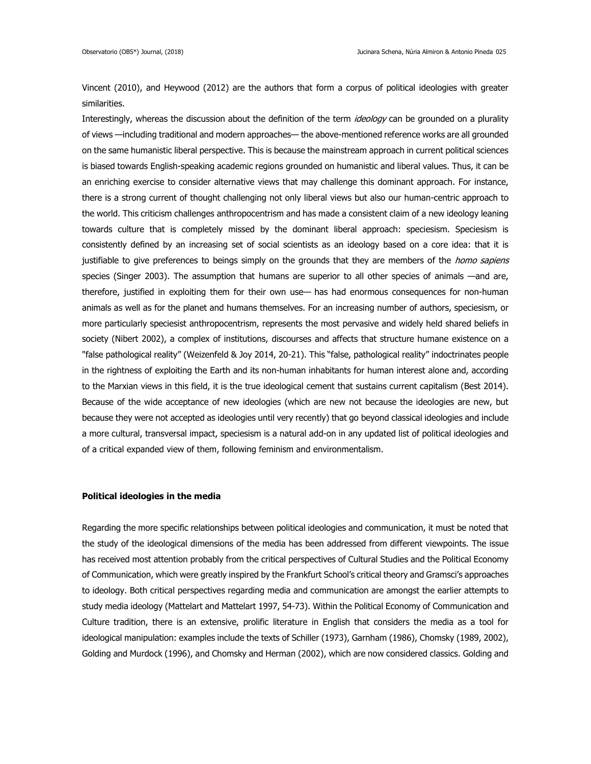Vincent (2010), and Heywood (2012) are the authors that form a corpus of political ideologies with greater similarities.

Interestingly, whereas the discussion about the definition of the term *ideology* can be grounded on a plurality of views —including traditional and modern approaches— the above-mentioned reference works are all grounded on the same humanistic liberal perspective. This is because the mainstream approach in current political sciences is biased towards English-speaking academic regions grounded on humanistic and liberal values. Thus, it can be an enriching exercise to consider alternative views that may challenge this dominant approach. For instance, there is a strong current of thought challenging not only liberal views but also our human-centric approach to the world. This criticism challenges anthropocentrism and has made a consistent claim of a new ideology leaning towards culture that is completely missed by the dominant liberal approach: speciesism. Speciesism is consistently defined by an increasing set of social scientists as an ideology based on a core idea: that it is justifiable to give preferences to beings simply on the grounds that they are members of the homo sapiens species (Singer 2003). The assumption that humans are superior to all other species of animals —and are, therefore, justified in exploiting them for their own use— has had enormous consequences for non-human animals as well as for the planet and humans themselves. For an increasing number of authors, speciesism, or more particularly speciesist anthropocentrism, represents the most pervasive and widely held shared beliefs in society (Nibert 2002), a complex of institutions, discourses and affects that structure humane existence on a "false pathological reality" (Weizenfeld & Joy 2014, 20-21). This "false, pathological reality" indoctrinates people in the rightness of exploiting the Earth and its non-human inhabitants for human interest alone and, according to the Marxian views in this field, it is the true ideological cement that sustains current capitalism (Best 2014). Because of the wide acceptance of new ideologies (which are new not because the ideologies are new, but because they were not accepted as ideologies until very recently) that go beyond classical ideologies and include a more cultural, transversal impact, speciesism is a natural add-on in any updated list of political ideologies and of a critical expanded view of them, following feminism and environmentalism.

## **Political ideologies in the media**

Regarding the more specific relationships between political ideologies and communication, it must be noted that the study of the ideological dimensions of the media has been addressed from different viewpoints. The issue has received most attention probably from the critical perspectives of Cultural Studies and the Political Economy of Communication, which were greatly inspired by the Frankfurt School's critical theory and Gramsci's approaches to ideology. Both critical perspectives regarding media and communication are amongst the earlier attempts to study media ideology (Mattelart and Mattelart 1997, 54-73). Within the Political Economy of Communication and Culture tradition, there is an extensive, prolific literature in English that considers the media as a tool for ideological manipulation: examples include the texts of Schiller (1973), Garnham (1986), Chomsky (1989, 2002), Golding and Murdock (1996), and Chomsky and Herman (2002), which are now considered classics. Golding and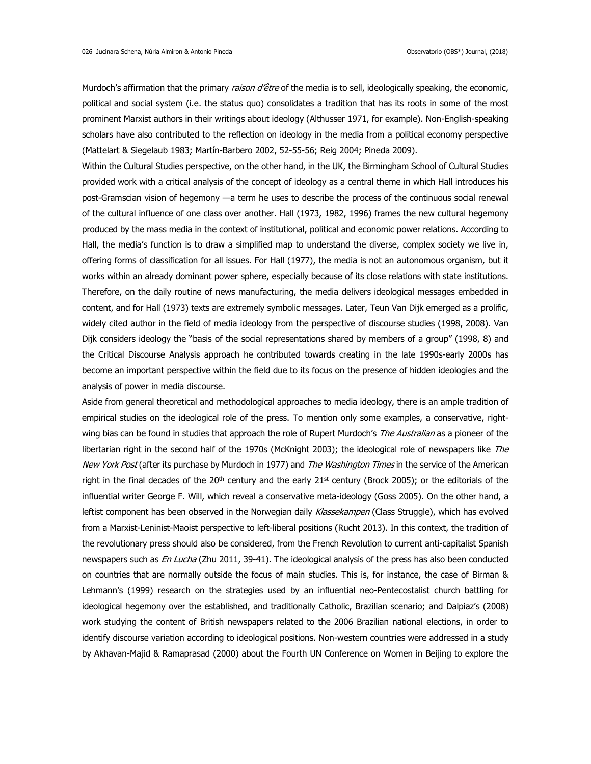Murdoch's affirmation that the primary *raison d'être* of the media is to sell, ideologically speaking, the economic, political and social system (i.e. the status quo) consolidates a tradition that has its roots in some of the most prominent Marxist authors in their writings about ideology (Althusser 1971, for example). Non-English-speaking scholars have also contributed to the reflection on ideology in the media from a political economy perspective (Mattelart & Siegelaub 1983; Martín-Barbero 2002, 52-55-56; Reig 2004; Pineda 2009).

Within the Cultural Studies perspective, on the other hand, in the UK, the Birmingham School of Cultural Studies provided work with a critical analysis of the concept of ideology as a central theme in which Hall introduces his post-Gramscian vision of hegemony —a term he uses to describe the process of the continuous social renewal of the cultural influence of one class over another. Hall (1973, 1982, 1996) frames the new cultural hegemony produced by the mass media in the context of institutional, political and economic power relations. According to Hall, the media's function is to draw a simplified map to understand the diverse, complex society we live in, offering forms of classification for all issues. For Hall (1977), the media is not an autonomous organism, but it works within an already dominant power sphere, especially because of its close relations with state institutions. Therefore, on the daily routine of news manufacturing, the media delivers ideological messages embedded in content, and for Hall (1973) texts are extremely symbolic messages. Later, Teun Van Dijk emerged as a prolific, widely cited author in the field of media ideology from the perspective of discourse studies (1998, 2008). Van Dijk considers ideology the "basis of the social representations shared by members of a group" (1998, 8) and the Critical Discourse Analysis approach he contributed towards creating in the late 1990s-early 2000s has become an important perspective within the field due to its focus on the presence of hidden ideologies and the analysis of power in media discourse.

Aside from general theoretical and methodological approaches to media ideology, there is an ample tradition of empirical studies on the ideological role of the press. To mention only some examples, a conservative, rightwing bias can be found in studies that approach the role of Rupert Murdoch's The Australian as a pioneer of the libertarian right in the second half of the 1970s (McKnight 2003); the ideological role of newspapers like The New York Post (after its purchase by Murdoch in 1977) and The Washington Times in the service of the American right in the final decades of the 20<sup>th</sup> century and the early 21<sup>st</sup> century (Brock 2005); or the editorials of the influential writer George F. Will, which reveal a conservative meta-ideology (Goss 2005). On the other hand, a leftist component has been observed in the Norwegian daily Klassekampen (Class Struggle), which has evolved from a Marxist-Leninist-Maoist perspective to left-liberal positions (Rucht 2013). In this context, the tradition of the revolutionary press should also be considered, from the French Revolution to current anti-capitalist Spanish newspapers such as *En Lucha* (Zhu 2011, 39-41). The ideological analysis of the press has also been conducted on countries that are normally outside the focus of main studies. This is, for instance, the case of Birman & Lehmann's (1999) research on the strategies used by an influential neo-Pentecostalist church battling for ideological hegemony over the established, and traditionally Catholic, Brazilian scenario; and Dalpiaz's (2008) work studying the content of British newspapers related to the 2006 Brazilian national elections, in order to identify discourse variation according to ideological positions. Non-western countries were addressed in a study by Akhavan-Majid & Ramaprasad (2000) about the Fourth UN Conference on Women in Beijing to explore the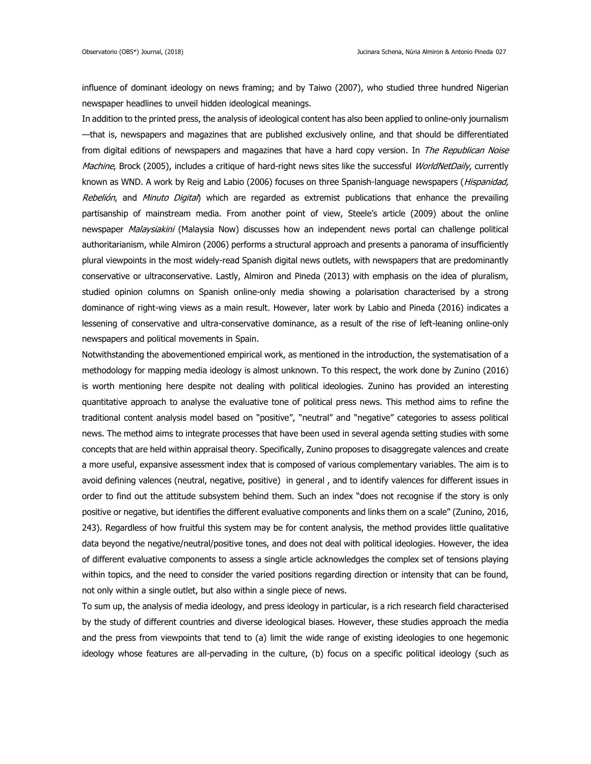influence of dominant ideology on news framing; and by Taiwo (2007), who studied three hundred Nigerian newspaper headlines to unveil hidden ideological meanings.

In addition to the printed press, the analysis of ideological content has also been applied to online-only journalism —that is, newspapers and magazines that are published exclusively online, and that should be differentiated from digital editions of newspapers and magazines that have a hard copy version. In The Republican Noise Machine, Brock (2005), includes a critique of hard-right news sites like the successful WorldNetDaily, currently known as WND. A work by Reig and Labio (2006) focuses on three Spanish-language newspapers (Hispanidad, Rebelión, and Minuto Digital) which are regarded as extremist publications that enhance the prevailing partisanship of mainstream media. From another point of view, Steele's article (2009) about the online newspaper Malaysiakini (Malaysia Now) discusses how an independent news portal can challenge political authoritarianism, while Almiron (2006) performs a structural approach and presents a panorama of insufficiently plural viewpoints in the most widely-read Spanish digital news outlets, with newspapers that are predominantly conservative or ultraconservative. Lastly, Almiron and Pineda (2013) with emphasis on the idea of pluralism, studied opinion columns on Spanish online-only media showing a polarisation characterised by a strong dominance of right-wing views as a main result. However, later work by Labio and Pineda (2016) indicates a lessening of conservative and ultra-conservative dominance, as a result of the rise of left-leaning online-only newspapers and political movements in Spain.

Notwithstanding the abovementioned empirical work, as mentioned in the introduction, the systematisation of a methodology for mapping media ideology is almost unknown. To this respect, the work done by Zunino (2016) is worth mentioning here despite not dealing with political ideologies. Zunino has provided an interesting quantitative approach to analyse the evaluative tone of political press news. This method aims to refine the traditional content analysis model based on "positive", "neutral" and "negative" categories to assess political news. The method aims to integrate processes that have been used in several agenda setting studies with some concepts that are held within appraisal theory. Specifically, Zunino proposes to disaggregate valences and create a more useful, expansive assessment index that is composed of various complementary variables. The aim is to avoid defining valences (neutral, negative, positive) in general , and to identify valences for different issues in order to find out the attitude subsystem behind them. Such an index "does not recognise if the story is only positive or negative, but identifies the different evaluative components and links them on a scale" (Zunino, 2016, 243). Regardless of how fruitful this system may be for content analysis, the method provides little qualitative data beyond the negative/neutral/positive tones, and does not deal with political ideologies. However, the idea of different evaluative components to assess a single article acknowledges the complex set of tensions playing within topics, and the need to consider the varied positions regarding direction or intensity that can be found, not only within a single outlet, but also within a single piece of news.

To sum up, the analysis of media ideology, and press ideology in particular, is a rich research field characterised by the study of different countries and diverse ideological biases. However, these studies approach the media and the press from viewpoints that tend to (a) limit the wide range of existing ideologies to one hegemonic ideology whose features are all-pervading in the culture, (b) focus on a specific political ideology (such as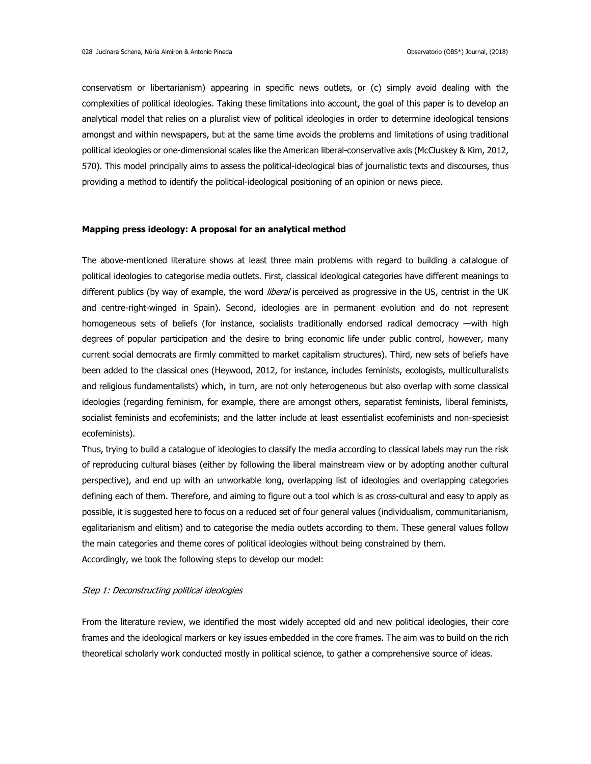conservatism or libertarianism) appearing in specific news outlets, or (c) simply avoid dealing with the complexities of political ideologies. Taking these limitations into account, the goal of this paper is to develop an analytical model that relies on a pluralist view of political ideologies in order to determine ideological tensions amongst and within newspapers, but at the same time avoids the problems and limitations of using traditional political ideologies or one-dimensional scales like the American liberal-conservative axis (McCluskey & Kim, 2012, 570). This model principally aims to assess the political-ideological bias of journalistic texts and discourses, thus providing a method to identify the political-ideological positioning of an opinion or news piece.

## **Mapping press ideology: A proposal for an analytical method**

The above-mentioned literature shows at least three main problems with regard to building a catalogue of political ideologies to categorise media outlets. First, classical ideological categories have different meanings to different publics (by way of example, the word *liberal* is perceived as progressive in the US, centrist in the UK and centre-right-winged in Spain). Second, ideologies are in permanent evolution and do not represent homogeneous sets of beliefs (for instance, socialists traditionally endorsed radical democracy —with high degrees of popular participation and the desire to bring economic life under public control, however, many current social democrats are firmly committed to market capitalism structures). Third, new sets of beliefs have been added to the classical ones (Heywood, 2012, for instance, includes feminists, ecologists, multiculturalists and religious fundamentalists) which, in turn, are not only heterogeneous but also overlap with some classical ideologies (regarding feminism, for example, there are amongst others, separatist feminists, liberal feminists, socialist feminists and ecofeminists; and the latter include at least essentialist ecofeminists and non-speciesist ecofeminists).

Thus, trying to build a catalogue of ideologies to classify the media according to classical labels may run the risk of reproducing cultural biases (either by following the liberal mainstream view or by adopting another cultural perspective), and end up with an unworkable long, overlapping list of ideologies and overlapping categories defining each of them. Therefore, and aiming to figure out a tool which is as cross-cultural and easy to apply as possible, it is suggested here to focus on a reduced set of four general values (individualism, communitarianism, egalitarianism and elitism) and to categorise the media outlets according to them. These general values follow the main categories and theme cores of political ideologies without being constrained by them. Accordingly, we took the following steps to develop our model:

## Step 1: Deconstructing political ideologies

From the literature review, we identified the most widely accepted old and new political ideologies, their core frames and the ideological markers or key issues embedded in the core frames. The aim was to build on the rich theoretical scholarly work conducted mostly in political science, to gather a comprehensive source of ideas.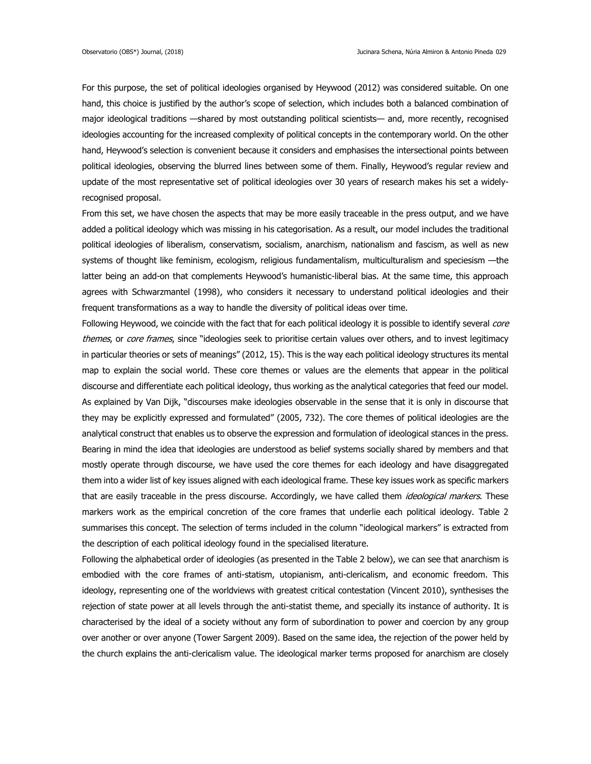For this purpose, the set of political ideologies organised by Heywood (2012) was considered suitable. On one hand, this choice is justified by the author's scope of selection, which includes both a balanced combination of major ideological traditions —shared by most outstanding political scientists— and, more recently, recognised ideologies accounting for the increased complexity of political concepts in the contemporary world. On the other hand, Heywood's selection is convenient because it considers and emphasises the intersectional points between political ideologies, observing the blurred lines between some of them. Finally, Heywood's regular review and update of the most representative set of political ideologies over 30 years of research makes his set a widelyrecognised proposal.

From this set, we have chosen the aspects that may be more easily traceable in the press output, and we have added a political ideology which was missing in his categorisation. As a result, our model includes the traditional political ideologies of liberalism, conservatism, socialism, anarchism, nationalism and fascism, as well as new systems of thought like feminism, ecologism, religious fundamentalism, multiculturalism and speciesism —the latter being an add-on that complements Heywood's humanistic-liberal bias. At the same time, this approach agrees with Schwarzmantel (1998), who considers it necessary to understand political ideologies and their frequent transformations as a way to handle the diversity of political ideas over time.

Following Heywood, we coincide with the fact that for each political ideology it is possible to identify several core themes, or core frames, since "ideologies seek to prioritise certain values over others, and to invest legitimacy in particular theories or sets of meanings" (2012, 15). This is the way each political ideology structures its mental map to explain the social world. These core themes or values are the elements that appear in the political discourse and differentiate each political ideology, thus working as the analytical categories that feed our model. As explained by Van Dijk, "discourses make ideologies observable in the sense that it is only in discourse that they may be explicitly expressed and formulated" (2005, 732). The core themes of political ideologies are the analytical construct that enables us to observe the expression and formulation of ideological stances in the press. Bearing in mind the idea that ideologies are understood as belief systems socially shared by members and that mostly operate through discourse, we have used the core themes for each ideology and have disaggregated them into a wider list of key issues aligned with each ideological frame. These key issues work as specific markers that are easily traceable in the press discourse. Accordingly, we have called them *ideological markers*. These markers work as the empirical concretion of the core frames that underlie each political ideology. Table 2 summarises this concept. The selection of terms included in the column "ideological markers" is extracted from the description of each political ideology found in the specialised literature.

Following the alphabetical order of ideologies (as presented in the Table 2 below), we can see that anarchism is embodied with the core frames of anti-statism, utopianism, anti-clericalism, and economic freedom. This ideology, representing one of the worldviews with greatest critical contestation (Vincent 2010), synthesises the rejection of state power at all levels through the anti-statist theme, and specially its instance of authority. It is characterised by the ideal of a society without any form of subordination to power and coercion by any group over another or over anyone (Tower Sargent 2009). Based on the same idea, the rejection of the power held by the church explains the anti-clericalism value. The ideological marker terms proposed for anarchism are closely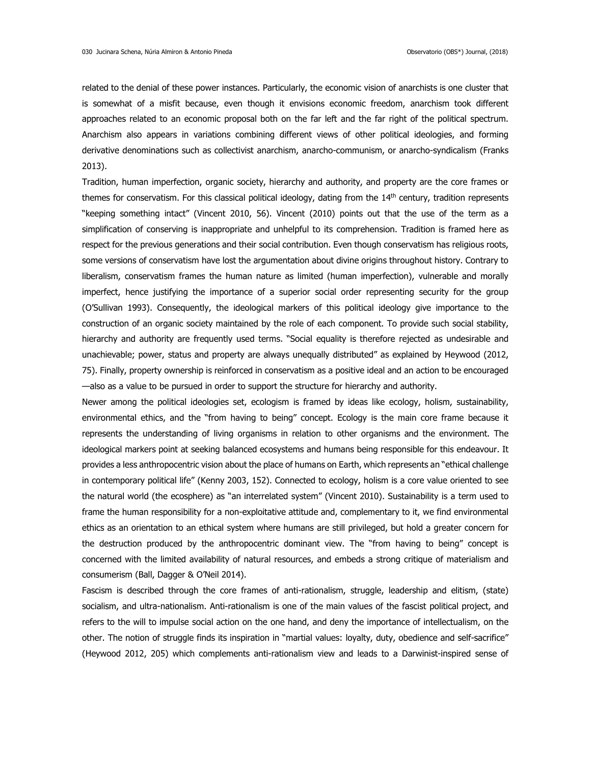related to the denial of these power instances. Particularly, the economic vision of anarchists is one cluster that is somewhat of a misfit because, even though it envisions economic freedom, anarchism took different approaches related to an economic proposal both on the far left and the far right of the political spectrum. Anarchism also appears in variations combining different views of other political ideologies, and forming derivative denominations such as collectivist anarchism, anarcho-communism, or anarcho-syndicalism (Franks 2013).

Tradition, human imperfection, organic society, hierarchy and authority, and property are the core frames or themes for conservatism. For this classical political ideology, dating from the 14<sup>th</sup> century, tradition represents "keeping something intact" (Vincent 2010, 56). Vincent (2010) points out that the use of the term as a simplification of conserving is inappropriate and unhelpful to its comprehension. Tradition is framed here as respect for the previous generations and their social contribution. Even though conservatism has religious roots, some versions of conservatism have lost the argumentation about divine origins throughout history. Contrary to liberalism, conservatism frames the human nature as limited (human imperfection), vulnerable and morally imperfect, hence justifying the importance of a superior social order representing security for the group (O'Sullivan 1993). Consequently, the ideological markers of this political ideology give importance to the construction of an organic society maintained by the role of each component. To provide such social stability, hierarchy and authority are frequently used terms. "Social equality is therefore rejected as undesirable and unachievable; power, status and property are always unequally distributed" as explained by Heywood (2012, 75). Finally, property ownership is reinforced in conservatism as a positive ideal and an action to be encouraged —also as a value to be pursued in order to support the structure for hierarchy and authority.

Newer among the political ideologies set, ecologism is framed by ideas like ecology, holism, sustainability, environmental ethics, and the "from having to being" concept. Ecology is the main core frame because it represents the understanding of living organisms in relation to other organisms and the environment. The ideological markers point at seeking balanced ecosystems and humans being responsible for this endeavour. It provides a less anthropocentric vision about the place of humans on Earth, which represents an "ethical challenge in contemporary political life" (Kenny 2003, 152). Connected to ecology, holism is a core value oriented to see the natural world (the ecosphere) as "an interrelated system" (Vincent 2010). Sustainability is a term used to frame the human responsibility for a non-exploitative attitude and, complementary to it, we find environmental ethics as an orientation to an ethical system where humans are still privileged, but hold a greater concern for the destruction produced by the anthropocentric dominant view. The "from having to being" concept is concerned with the limited availability of natural resources, and embeds a strong critique of materialism and consumerism (Ball, Dagger & O'Neil 2014).

Fascism is described through the core frames of anti-rationalism, struggle, leadership and elitism, (state) socialism, and ultra-nationalism. Anti-rationalism is one of the main values of the fascist political project, and refers to the will to impulse social action on the one hand, and deny the importance of intellectualism, on the other. The notion of struggle finds its inspiration in "martial values: loyalty, duty, obedience and self-sacrifice" (Heywood 2012, 205) which complements anti-rationalism view and leads to a Darwinist-inspired sense of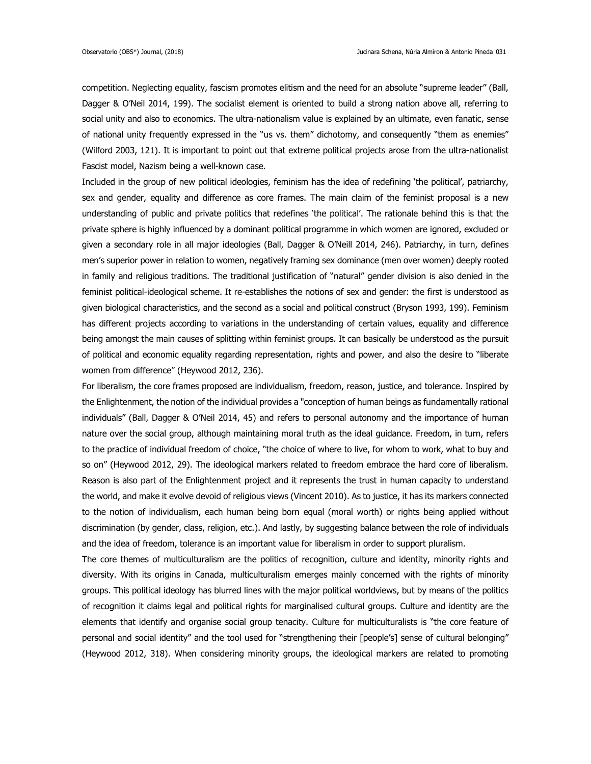competition. Neglecting equality, fascism promotes elitism and the need for an absolute "supreme leader" (Ball, Dagger & O'Neil 2014, 199). The socialist element is oriented to build a strong nation above all, referring to social unity and also to economics. The ultra-nationalism value is explained by an ultimate, even fanatic, sense of national unity frequently expressed in the "us vs. them" dichotomy, and consequently "them as enemies" (Wilford 2003, 121). It is important to point out that extreme political projects arose from the ultra-nationalist Fascist model, Nazism being a well-known case.

Included in the group of new political ideologies, feminism has the idea of redefining 'the political', patriarchy, sex and gender, equality and difference as core frames. The main claim of the feminist proposal is a new understanding of public and private politics that redefines 'the political'. The rationale behind this is that the private sphere is highly influenced by a dominant political programme in which women are ignored, excluded or given a secondary role in all major ideologies (Ball, Dagger & O'Neill 2014, 246). Patriarchy, in turn, defines men's superior power in relation to women, negatively framing sex dominance (men over women) deeply rooted in family and religious traditions. The traditional justification of "natural" gender division is also denied in the feminist political-ideological scheme. It re-establishes the notions of sex and gender: the first is understood as given biological characteristics, and the second as a social and political construct (Bryson 1993, 199). Feminism has different projects according to variations in the understanding of certain values, equality and difference being amongst the main causes of splitting within feminist groups. It can basically be understood as the pursuit of political and economic equality regarding representation, rights and power, and also the desire to "liberate women from difference" (Heywood 2012, 236).

For liberalism, the core frames proposed are individualism, freedom, reason, justice, and tolerance. Inspired by the Enlightenment, the notion of the individual provides a "conception of human beings as fundamentally rational individuals" (Ball, Dagger & O'Neil 2014, 45) and refers to personal autonomy and the importance of human nature over the social group, although maintaining moral truth as the ideal guidance. Freedom, in turn, refers to the practice of individual freedom of choice, "the choice of where to live, for whom to work, what to buy and so on" (Heywood 2012, 29). The ideological markers related to freedom embrace the hard core of liberalism. Reason is also part of the Enlightenment project and it represents the trust in human capacity to understand the world, and make it evolve devoid of religious views (Vincent 2010). As to justice, it has its markers connected to the notion of individualism, each human being born equal (moral worth) or rights being applied without discrimination (by gender, class, religion, etc.). And lastly, by suggesting balance between the role of individuals and the idea of freedom, tolerance is an important value for liberalism in order to support pluralism.

The core themes of multiculturalism are the politics of recognition, culture and identity, minority rights and diversity. With its origins in Canada, multiculturalism emerges mainly concerned with the rights of minority groups. This political ideology has blurred lines with the major political worldviews, but by means of the politics of recognition it claims legal and political rights for marginalised cultural groups. Culture and identity are the elements that identify and organise social group tenacity. Culture for multiculturalists is "the core feature of personal and social identity" and the tool used for "strengthening their [people's] sense of cultural belonging" (Heywood 2012, 318). When considering minority groups, the ideological markers are related to promoting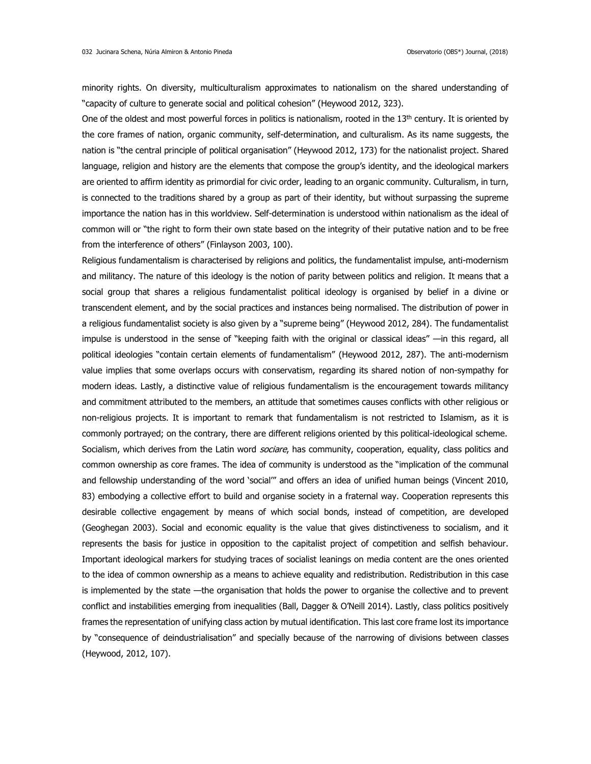minority rights. On diversity, multiculturalism approximates to nationalism on the shared understanding of "capacity of culture to generate social and political cohesion" (Heywood 2012, 323).

One of the oldest and most powerful forces in politics is nationalism, rooted in the  $13<sup>th</sup>$  century. It is oriented by the core frames of nation, organic community, self-determination, and culturalism. As its name suggests, the nation is "the central principle of political organisation" (Heywood 2012, 173) for the nationalist project. Shared language, religion and history are the elements that compose the group's identity, and the ideological markers are oriented to affirm identity as primordial for civic order, leading to an organic community. Culturalism, in turn, is connected to the traditions shared by a group as part of their identity, but without surpassing the supreme importance the nation has in this worldview. Self-determination is understood within nationalism as the ideal of common will or "the right to form their own state based on the integrity of their putative nation and to be free from the interference of others" (Finlayson 2003, 100).

Religious fundamentalism is characterised by religions and politics, the fundamentalist impulse, anti-modernism and militancy. The nature of this ideology is the notion of parity between politics and religion. It means that a social group that shares a religious fundamentalist political ideology is organised by belief in a divine or transcendent element, and by the social practices and instances being normalised. The distribution of power in a religious fundamentalist society is also given by a "supreme being" (Heywood 2012, 284). The fundamentalist impulse is understood in the sense of "keeping faith with the original or classical ideas" —in this regard, all political ideologies "contain certain elements of fundamentalism" (Heywood 2012, 287). The anti-modernism value implies that some overlaps occurs with conservatism, regarding its shared notion of non-sympathy for modern ideas. Lastly, a distinctive value of religious fundamentalism is the encouragement towards militancy and commitment attributed to the members, an attitude that sometimes causes conflicts with other religious or non-religious projects. It is important to remark that fundamentalism is not restricted to Islamism, as it is commonly portrayed; on the contrary, there are different religions oriented by this political-ideological scheme. Socialism, which derives from the Latin word *sociare*, has community, cooperation, equality, class politics and common ownership as core frames. The idea of community is understood as the "implication of the communal and fellowship understanding of the word 'social'" and offers an idea of unified human beings (Vincent 2010, 83) embodying a collective effort to build and organise society in a fraternal way. Cooperation represents this desirable collective engagement by means of which social bonds, instead of competition, are developed (Geoghegan 2003). Social and economic equality is the value that gives distinctiveness to socialism, and it represents the basis for justice in opposition to the capitalist project of competition and selfish behaviour. Important ideological markers for studying traces of socialist leanings on media content are the ones oriented to the idea of common ownership as a means to achieve equality and redistribution. Redistribution in this case is implemented by the state —the organisation that holds the power to organise the collective and to prevent conflict and instabilities emerging from inequalities (Ball, Dagger & O'Neill 2014). Lastly, class politics positively frames the representation of unifying class action by mutual identification. This last core frame lost its importance by "consequence of deindustrialisation" and specially because of the narrowing of divisions between classes (Heywood, 2012, 107).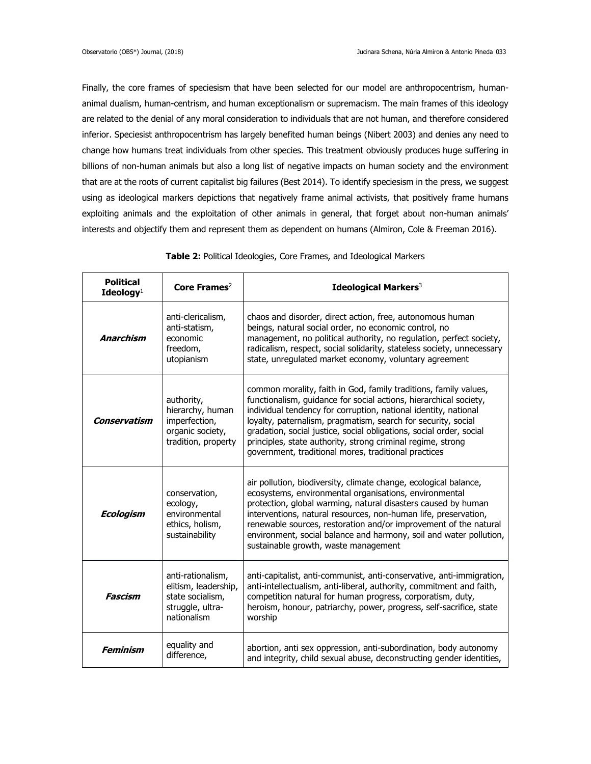Finally, the core frames of speciesism that have been selected for our model are anthropocentrism, humananimal dualism, human-centrism, and human exceptionalism or supremacism. The main frames of this ideology are related to the denial of any moral consideration to individuals that are not human, and therefore considered inferior. Speciesist anthropocentrism has largely benefited human beings (Nibert 2003) and denies any need to change how humans treat individuals from other species. This treatment obviously produces huge suffering in billions of non-human animals but also a long list of negative impacts on human society and the environment that are at the roots of current capitalist big failures (Best 2014). To identify speciesism in the press, we suggest using as ideological markers depictions that negatively frame animal activists, that positively frame humans exploiting animals and the exploitation of other animals in general, that forget about non-human animals' interests and objectify them and represent them as dependent on humans (Almiron, Cole & Freeman 2016).

| <b>Political</b><br>Ideology $1$ | Core Frames <sup>2</sup>                                                                         | Ideological Markers <sup>3</sup>                                                                                                                                                                                                                                                                                                                                                                                                                                        |
|----------------------------------|--------------------------------------------------------------------------------------------------|-------------------------------------------------------------------------------------------------------------------------------------------------------------------------------------------------------------------------------------------------------------------------------------------------------------------------------------------------------------------------------------------------------------------------------------------------------------------------|
| <b>Anarchism</b>                 | anti-clericalism,<br>anti-statism,<br>economic<br>freedom,<br>utopianism                         | chaos and disorder, direct action, free, autonomous human<br>beings, natural social order, no economic control, no<br>management, no political authority, no regulation, perfect society,<br>radicalism, respect, social solidarity, stateless society, unnecessary<br>state, unregulated market economy, voluntary agreement                                                                                                                                           |
| Conservatism                     | authority,<br>hierarchy, human<br>imperfection,<br>organic society,<br>tradition, property       | common morality, faith in God, family traditions, family values,<br>functionalism, guidance for social actions, hierarchical society,<br>individual tendency for corruption, national identity, national<br>loyalty, paternalism, pragmatism, search for security, social<br>gradation, social justice, social obligations, social order, social<br>principles, state authority, strong criminal regime, strong<br>government, traditional mores, traditional practices |
| <b>Ecologism</b>                 | conservation,<br>ecology,<br>environmental<br>ethics, holism,<br>sustainability                  | air pollution, biodiversity, climate change, ecological balance,<br>ecosystems, environmental organisations, environmental<br>protection, global warming, natural disasters caused by human<br>interventions, natural resources, non-human life, preservation,<br>renewable sources, restoration and/or improvement of the natural<br>environment, social balance and harmony, soil and water pollution,<br>sustainable growth, waste management                        |
| Fascism                          | anti-rationalism,<br>elitism, leadership,<br>state socialism,<br>struggle, ultra-<br>nationalism | anti-capitalist, anti-communist, anti-conservative, anti-immigration,<br>anti-intellectualism, anti-liberal, authority, commitment and faith,<br>competition natural for human progress, corporatism, duty,<br>heroism, honour, patriarchy, power, progress, self-sacrifice, state<br>worship                                                                                                                                                                           |
| <b>Feminism</b>                  | equality and<br>difference,                                                                      | abortion, anti sex oppression, anti-subordination, body autonomy<br>and integrity, child sexual abuse, deconstructing gender identities,                                                                                                                                                                                                                                                                                                                                |

## **Table 2:** Political Ideologies, Core Frames, and Ideological Markers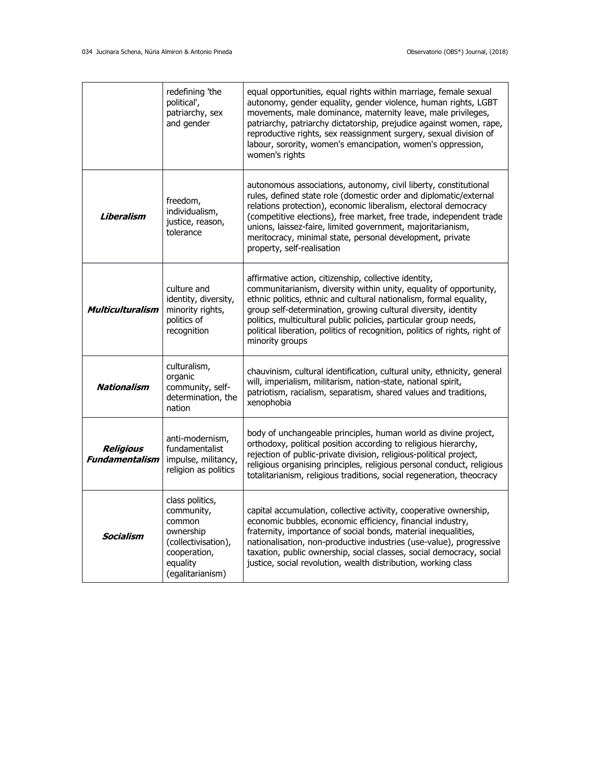|                                           | redefining 'the<br>political',<br>patriarchy, sex<br>and gender                                                             | equal opportunities, equal rights within marriage, female sexual<br>autonomy, gender equality, gender violence, human rights, LGBT<br>movements, male dominance, maternity leave, male privileges,<br>patriarchy, patriarchy dictatorship, prejudice against women, rape,<br>reproductive rights, sex reassignment surgery, sexual division of<br>labour, sorority, women's emancipation, women's oppression,<br>women's rights           |
|-------------------------------------------|-----------------------------------------------------------------------------------------------------------------------------|-------------------------------------------------------------------------------------------------------------------------------------------------------------------------------------------------------------------------------------------------------------------------------------------------------------------------------------------------------------------------------------------------------------------------------------------|
| Liberalism                                | freedom,<br>individualism,<br>justice, reason,<br>tolerance                                                                 | autonomous associations, autonomy, civil liberty, constitutional<br>rules, defined state role (domestic order and diplomatic/external<br>relations protection), economic liberalism, electoral democracy<br>(competitive elections), free market, free trade, independent trade<br>unions, laissez-faire, limited government, majoritarianism,<br>meritocracy, minimal state, personal development, private<br>property, self-realisation |
| <b>Multiculturalism</b>                   | culture and<br>identity, diversity,<br>minority rights,<br>politics of<br>recognition                                       | affirmative action, citizenship, collective identity,<br>communitarianism, diversity within unity, equality of opportunity,<br>ethnic politics, ethnic and cultural nationalism, formal equality,<br>group self-determination, growing cultural diversity, identity<br>politics, multicultural public policies, particular group needs,<br>political liberation, politics of recognition, politics of rights, right of<br>minority groups |
| <b>Nationalism</b>                        | culturalism,<br>organic<br>community, self-<br>determination, the<br>nation                                                 | chauvinism, cultural identification, cultural unity, ethnicity, general<br>will, imperialism, militarism, nation-state, national spirit,<br>patriotism, racialism, separatism, shared values and traditions,<br>xenophobia                                                                                                                                                                                                                |
| <b>Religious</b><br><b>Fundamentalism</b> | anti-modernism,<br>fundamentalist<br>impulse, militancy,<br>religion as politics                                            | body of unchangeable principles, human world as divine project,<br>orthodoxy, political position according to religious hierarchy,<br>rejection of public-private division, religious-political project,<br>religious organising principles, religious personal conduct, religious<br>totalitarianism, religious traditions, social regeneration, theocracy                                                                               |
| Socialism                                 | class politics,<br>community,<br>common<br>ownership<br>(collectivisation),<br>cooperation,<br>equality<br>(egalitarianism) | capital accumulation, collective activity, cooperative ownership,<br>economic bubbles, economic efficiency, financial industry,<br>fraternity, importance of social bonds, material inequalities,<br>nationalisation, non-productive industries (use-value), progressive<br>taxation, public ownership, social classes, social democracy, social<br>justice, social revolution, wealth distribution, working class                        |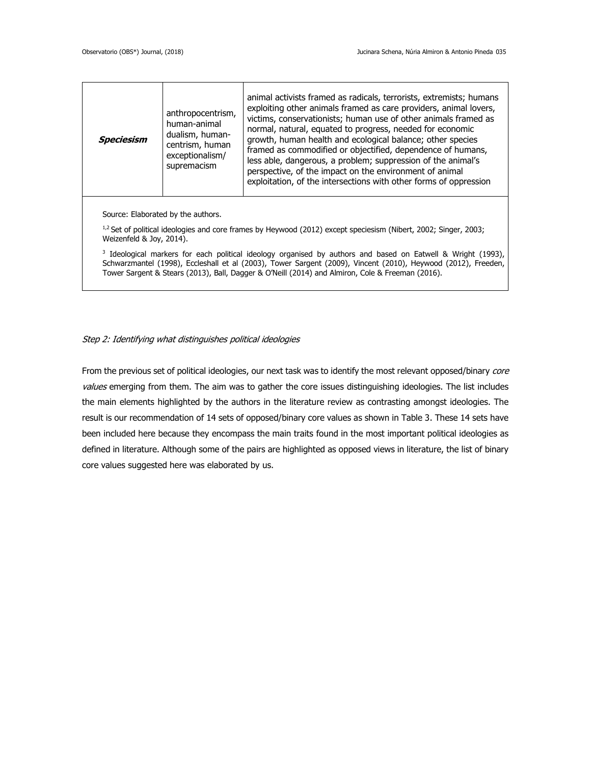|                                                                                                                                                                                                                                                                                                                                 | Speciesism                                                                                                                                     | anthropocentrism,<br>human-animal<br>dualism, human-<br>centrism, human<br>exceptionalism/<br>supremacism | animal activists framed as radicals, terrorists, extremists; humans<br>exploiting other animals framed as care providers, animal lovers,<br>victims, conservationists; human use of other animals framed as<br>normal, natural, equated to progress, needed for economic<br>growth, human health and ecological balance; other species<br>framed as commodified or objectified, dependence of humans,<br>less able, dangerous, a problem; suppression of the animal's<br>perspective, of the impact on the environment of animal<br>exploitation, of the intersections with other forms of oppression |
|---------------------------------------------------------------------------------------------------------------------------------------------------------------------------------------------------------------------------------------------------------------------------------------------------------------------------------|------------------------------------------------------------------------------------------------------------------------------------------------|-----------------------------------------------------------------------------------------------------------|-------------------------------------------------------------------------------------------------------------------------------------------------------------------------------------------------------------------------------------------------------------------------------------------------------------------------------------------------------------------------------------------------------------------------------------------------------------------------------------------------------------------------------------------------------------------------------------------------------|
| Source: Elaborated by the authors.                                                                                                                                                                                                                                                                                              |                                                                                                                                                |                                                                                                           |                                                                                                                                                                                                                                                                                                                                                                                                                                                                                                                                                                                                       |
|                                                                                                                                                                                                                                                                                                                                 | $1/2$ Set of political ideologies and core frames by Heywood (2012) except speciesism (Nibert, 2002; Singer, 2003;<br>Weizenfeld & Joy, 2014). |                                                                                                           |                                                                                                                                                                                                                                                                                                                                                                                                                                                                                                                                                                                                       |
| Ideological markers for each political ideology organised by authors and based on Eatwell & Wright (1993),<br>Schwarzmantel (1998), Eccleshall et al (2003), Tower Sargent (2009), Vincent (2010), Heywood (2012), Freeden,<br>Tower Sargent & Stears (2013), Ball, Dagger & O'Neill (2014) and Almiron, Cole & Freeman (2016). |                                                                                                                                                |                                                                                                           |                                                                                                                                                                                                                                                                                                                                                                                                                                                                                                                                                                                                       |

## Step 2: Identifying what distinguishes political ideologies

From the previous set of political ideologies, our next task was to identify the most relevant opposed/binary core values emerging from them. The aim was to gather the core issues distinguishing ideologies. The list includes the main elements highlighted by the authors in the literature review as contrasting amongst ideologies. The result is our recommendation of 14 sets of opposed/binary core values as shown in Table 3. These 14 sets have been included here because they encompass the main traits found in the most important political ideologies as defined in literature. Although some of the pairs are highlighted as opposed views in literature, the list of binary core values suggested here was elaborated by us.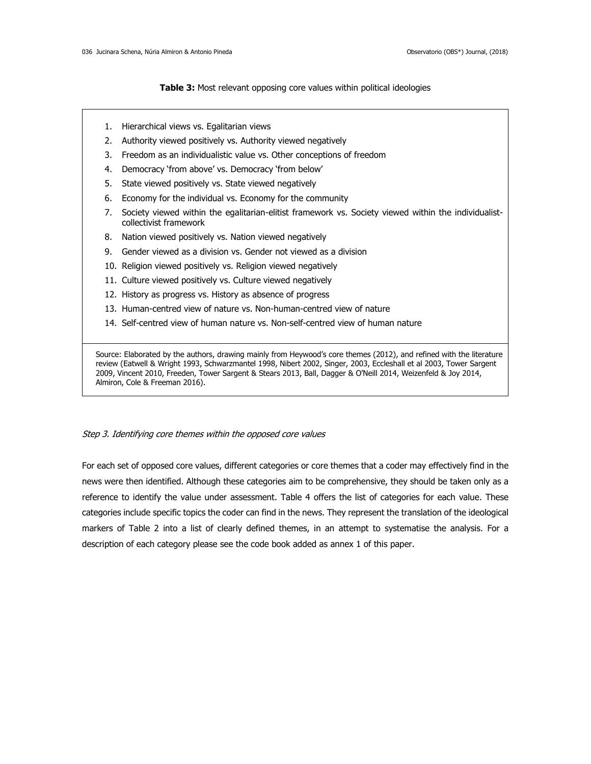## **Table 3:** Most relevant opposing core values within political ideologies

- 1. Hierarchical views vs. Egalitarian views
- 2. Authority viewed positively vs. Authority viewed negatively
- 3. Freedom as an individualistic value vs. Other conceptions of freedom
- 4. Democracy 'from above' vs. Democracy 'from below'
- 5. State viewed positively vs. State viewed negatively
- 6. Economy for the individual vs. Economy for the community
- 7. Society viewed within the egalitarian-elitist framework vs. Society viewed within the individualistcollectivist framework
- 8. Nation viewed positively vs. Nation viewed negatively
- 9. Gender viewed as a division vs. Gender not viewed as a division
- 10. Religion viewed positively vs. Religion viewed negatively
- 11. Culture viewed positively vs. Culture viewed negatively
- 12. History as progress vs. History as absence of progress
- 13. Human-centred view of nature vs. Non-human-centred view of nature
- 14. Self-centred view of human nature vs. Non-self-centred view of human nature

Source: Elaborated by the authors, drawing mainly from Heywood's core themes (2012), and refined with the literature review (Eatwell & Wright 1993, Schwarzmantel 1998, Nibert 2002, Singer, 2003, Eccleshall et al 2003, Tower Sargent 2009, Vincent 2010, Freeden, Tower Sargent & Stears 2013, Ball, Dagger & O'Neill 2014, Weizenfeld & Joy 2014, Almiron, Cole & Freeman 2016).

### Step 3. Identifying core themes within the opposed core values

For each set of opposed core values, different categories or core themes that a coder may effectively find in the news were then identified. Although these categories aim to be comprehensive, they should be taken only as a reference to identify the value under assessment. Table 4 offers the list of categories for each value. These categories include specific topics the coder can find in the news. They represent the translation of the ideological markers of Table 2 into a list of clearly defined themes, in an attempt to systematise the analysis. For a description of each category please see the code book added as annex 1 of this paper.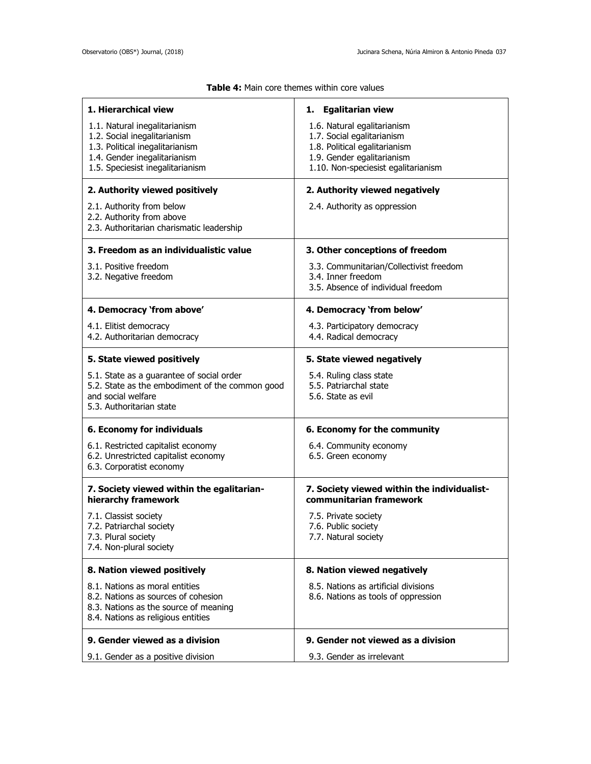| 1. Hierarchical view                                                                                                                                                 | 1. Egalitarian view                                                                                                                                             |
|----------------------------------------------------------------------------------------------------------------------------------------------------------------------|-----------------------------------------------------------------------------------------------------------------------------------------------------------------|
| 1.1. Natural inegalitarianism<br>1.2. Social inegalitarianism<br>1.3. Political inegalitarianism<br>1.4. Gender inegalitarianism<br>1.5. Speciesist inegalitarianism | 1.6. Natural egalitarianism<br>1.7. Social egalitarianism<br>1.8. Political egalitarianism<br>1.9. Gender egalitarianism<br>1.10. Non-speciesist egalitarianism |
| 2. Authority viewed positively                                                                                                                                       | 2. Authority viewed negatively                                                                                                                                  |
| 2.1. Authority from below<br>2.2. Authority from above<br>2.3. Authoritarian charismatic leadership                                                                  | 2.4. Authority as oppression                                                                                                                                    |
| 3. Freedom as an individualistic value                                                                                                                               | 3. Other conceptions of freedom                                                                                                                                 |
| 3.1. Positive freedom<br>3.2. Negative freedom                                                                                                                       | 3.3. Communitarian/Collectivist freedom<br>3.4. Inner freedom<br>3.5. Absence of individual freedom                                                             |
| 4. Democracy 'from above'                                                                                                                                            | 4. Democracy 'from below'                                                                                                                                       |
| 4.1. Elitist democracy<br>4.2. Authoritarian democracy                                                                                                               | 4.3. Participatory democracy<br>4.4. Radical democracy                                                                                                          |
| 5. State viewed positively                                                                                                                                           | 5. State viewed negatively                                                                                                                                      |
| 5.1. State as a guarantee of social order<br>5.2. State as the embodiment of the common good<br>and social welfare<br>5.3. Authoritarian state                       | 5.4. Ruling class state<br>5.5. Patriarchal state<br>5.6. State as evil                                                                                         |
| 6. Economy for individuals                                                                                                                                           | 6. Economy for the community                                                                                                                                    |
| 6.1. Restricted capitalist economy<br>6.2. Unrestricted capitalist economy<br>6.3. Corporatist economy                                                               | 6.4. Community economy<br>6.5. Green economy                                                                                                                    |
| 7. Society viewed within the egalitarian-<br>hierarchy framework                                                                                                     | 7. Society viewed within the individualist-<br>communitarian framework                                                                                          |
| 7.1. Classist society<br>7.2. Patriarchal society<br>7.3. Plural society<br>7.4. Non-plural society                                                                  | 7.5. Private society<br>7.6. Public society<br>7.7. Natural society                                                                                             |
| 8. Nation viewed positively                                                                                                                                          | 8. Nation viewed negatively                                                                                                                                     |
| 8.1. Nations as moral entities<br>8.2. Nations as sources of cohesion<br>8.3. Nations as the source of meaning<br>8.4. Nations as religious entities                 | 8.5. Nations as artificial divisions<br>8.6. Nations as tools of oppression                                                                                     |
| 9. Gender viewed as a division                                                                                                                                       | 9. Gender not viewed as a division                                                                                                                              |
| 9.1. Gender as a positive division                                                                                                                                   | 9.3. Gender as irrelevant                                                                                                                                       |

## **Table 4:** Main core themes within core values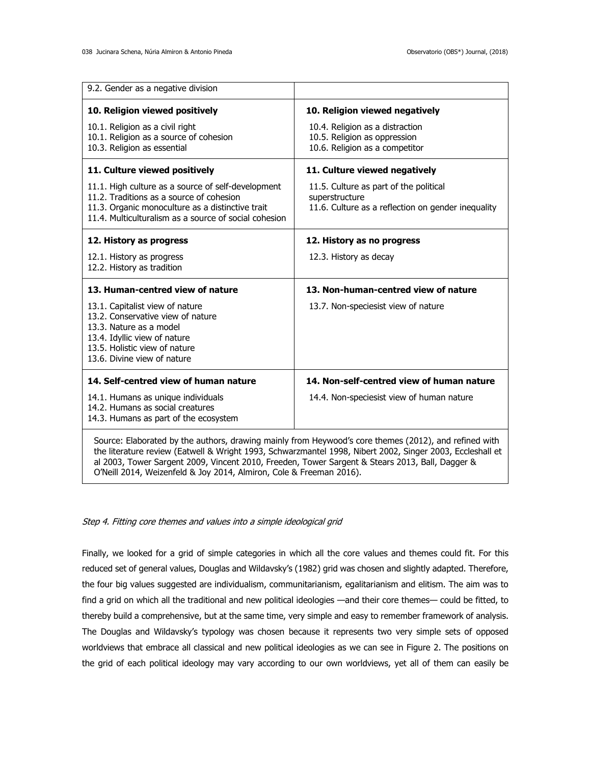| 9.2. Gender as a negative division                                                                                                                                                                          |                                                                                                                                                                                                                                                                                                                    |
|-------------------------------------------------------------------------------------------------------------------------------------------------------------------------------------------------------------|--------------------------------------------------------------------------------------------------------------------------------------------------------------------------------------------------------------------------------------------------------------------------------------------------------------------|
| 10. Religion viewed positively                                                                                                                                                                              | 10. Religion viewed negatively                                                                                                                                                                                                                                                                                     |
| 10.1. Religion as a civil right<br>10.1. Religion as a source of cohesion<br>10.3. Religion as essential                                                                                                    | 10.4. Religion as a distraction<br>10.5. Religion as oppression<br>10.6. Religion as a competitor                                                                                                                                                                                                                  |
| 11. Culture viewed positively                                                                                                                                                                               | 11. Culture viewed negatively                                                                                                                                                                                                                                                                                      |
| 11.1. High culture as a source of self-development<br>11.2. Traditions as a source of cohesion<br>11.3. Organic monoculture as a distinctive trait<br>11.4. Multiculturalism as a source of social cohesion | 11.5. Culture as part of the political<br>superstructure<br>11.6. Culture as a reflection on gender inequality                                                                                                                                                                                                     |
| 12. History as progress                                                                                                                                                                                     | 12. History as no progress                                                                                                                                                                                                                                                                                         |
| 12.1. History as progress<br>12.2. History as tradition                                                                                                                                                     | 12.3. History as decay                                                                                                                                                                                                                                                                                             |
| 13. Human-centred view of nature                                                                                                                                                                            | 13. Non-human-centred view of nature                                                                                                                                                                                                                                                                               |
| 13.1. Capitalist view of nature<br>13.2. Conservative view of nature<br>13.3. Nature as a model<br>13.4. Idyllic view of nature<br>13.5. Holistic view of nature<br>13.6. Divine view of nature             | 13.7. Non-speciesist view of nature                                                                                                                                                                                                                                                                                |
| 14. Self-centred view of human nature                                                                                                                                                                       | 14. Non-self-centred view of human nature                                                                                                                                                                                                                                                                          |
| 14.1. Humans as unique individuals<br>14.2. Humans as social creatures<br>14.3. Humans as part of the ecosystem                                                                                             | 14.4. Non-speciesist view of human nature                                                                                                                                                                                                                                                                          |
|                                                                                                                                                                                                             | Source: Elaborated by the authors, drawing mainly from Heywood's core themes (2012), and refined with<br>the literature review (Eatwell & Wright 1993, Schwarzmantel 1998, Nibert 2002, Singer 2003, Eccleshall et<br>$12002.$ Twee Council 2000, $10.1112040$ , Freedom Trees, Concert 0, Chroni2042, Bill, Brown |

al 2003, Tower Sargent 2009, Vincent 2010, Freeden, Tower Sargent & Stears 2013, Ball, Dagger & O'Neill 2014, Weizenfeld & Joy 2014, Almiron, Cole & Freeman 2016).

## Step 4. Fitting core themes and values into <sup>a</sup> simple ideological grid

Finally, we looked for a grid of simple categories in which all the core values and themes could fit. For this reduced set of general values, Douglas and Wildavsky's (1982) grid was chosen and slightly adapted. Therefore, the four big values suggested are individualism, communitarianism, egalitarianism and elitism. The aim was to find a grid on which all the traditional and new political ideologies —and their core themes— could be fitted, to thereby build a comprehensive, but at the same time, very simple and easy to remember framework of analysis. The Douglas and Wildavsky's typology was chosen because it represents two very simple sets of opposed worldviews that embrace all classical and new political ideologies as we can see in Figure 2. The positions on the grid of each political ideology may vary according to our own worldviews, yet all of them can easily be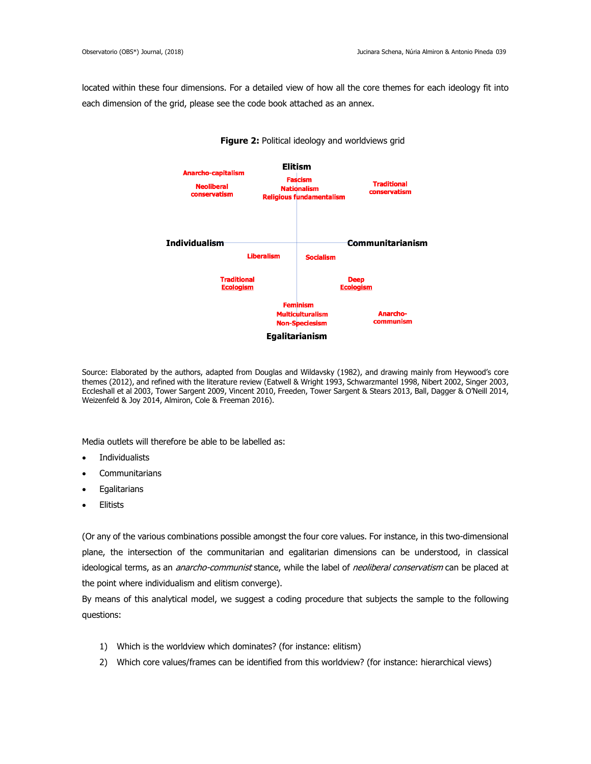located within these four dimensions. For a detailed view of how all the core themes for each ideology fit into each dimension of the grid, please see the code book attached as an annex.



## **Figure 2:** Political ideology and worldviews grid

Source: Elaborated by the authors, adapted from Douglas and Wildavsky (1982), and drawing mainly from Heywood's core themes (2012), and refined with the literature review (Eatwell & Wright 1993, Schwarzmantel 1998, Nibert 2002, Singer 2003, Eccleshall et al 2003, Tower Sargent 2009, Vincent 2010, Freeden, Tower Sargent & Stears 2013, Ball, Dagger & O'Neill 2014, Weizenfeld & Joy 2014, Almiron, Cole & Freeman 2016).

Media outlets will therefore be able to be labelled as:

- Individualists
- **Communitarians**
- **Egalitarians**
- Elitists

(Or any of the various combinations possible amongst the four core values. For instance, in this two-dimensional plane, the intersection of the communitarian and egalitarian dimensions can be understood, in classical ideological terms, as an *anarcho-communist* stance, while the label of *neoliberal conservatism* can be placed at the point where individualism and elitism converge).

By means of this analytical model, we suggest a coding procedure that subjects the sample to the following questions:

- 1) Which is the worldview which dominates? (for instance: elitism)
- 2) Which core values/frames can be identified from this worldview? (for instance: hierarchical views)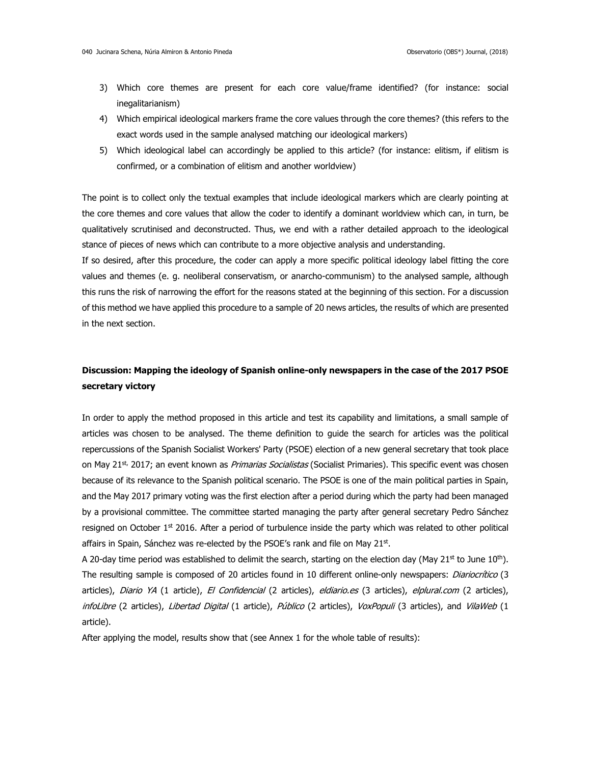- 3) Which core themes are present for each core value/frame identified? (for instance: social inegalitarianism)
- 4) Which empirical ideological markers frame the core values through the core themes? (this refers to the exact words used in the sample analysed matching our ideological markers)
- 5) Which ideological label can accordingly be applied to this article? (for instance: elitism, if elitism is confirmed, or a combination of elitism and another worldview)

The point is to collect only the textual examples that include ideological markers which are clearly pointing at the core themes and core values that allow the coder to identify a dominant worldview which can, in turn, be qualitatively scrutinised and deconstructed. Thus, we end with a rather detailed approach to the ideological stance of pieces of news which can contribute to a more objective analysis and understanding.

If so desired, after this procedure, the coder can apply a more specific political ideology label fitting the core values and themes (e. g. neoliberal conservatism, or anarcho-communism) to the analysed sample, although this runs the risk of narrowing the effort for the reasons stated at the beginning of this section. For a discussion of this method we have applied this procedure to a sample of 20 news articles, the results of which are presented in the next section.

# **Discussion: Mapping the ideology of Spanish online-only newspapers in the case of the 2017 PSOE secretary victory**

In order to apply the method proposed in this article and test its capability and limitations, a small sample of articles was chosen to be analysed. The theme definition to guide the search for articles was the political repercussions of the Spanish Socialist Workers' Party (PSOE) election of a new general secretary that took place on May 21<sup>st,</sup> 2017; an event known as *Primarias Socialistas* (Socialist Primaries). This specific event was chosen because of its relevance to the Spanish political scenario. The PSOE is one of the main political parties in Spain, and the May 2017 primary voting was the first election after a period during which the party had been managed by a provisional committee. The committee started managing the party after general secretary Pedro Sánchez resigned on October  $1<sup>st</sup>$  2016. After a period of turbulence inside the party which was related to other political affairs in Spain, Sánchez was re-elected by the PSOE's rank and file on May 21st.

A 20-day time period was established to delimit the search, starting on the election day (May 21<sup>st</sup> to June 10<sup>th</sup>). The resulting sample is composed of 20 articles found in 10 different online-only newspapers: *Diariocrítico* (3 articles), Diario YA (1 article), El Confidencial (2 articles), eldiario.es (3 articles), elplural.com (2 articles), infoLibre (2 articles), Libertad Digital (1 article), Público (2 articles), VoxPopuli (3 articles), and VilaWeb (1 article).

After applying the model, results show that (see Annex 1 for the whole table of results):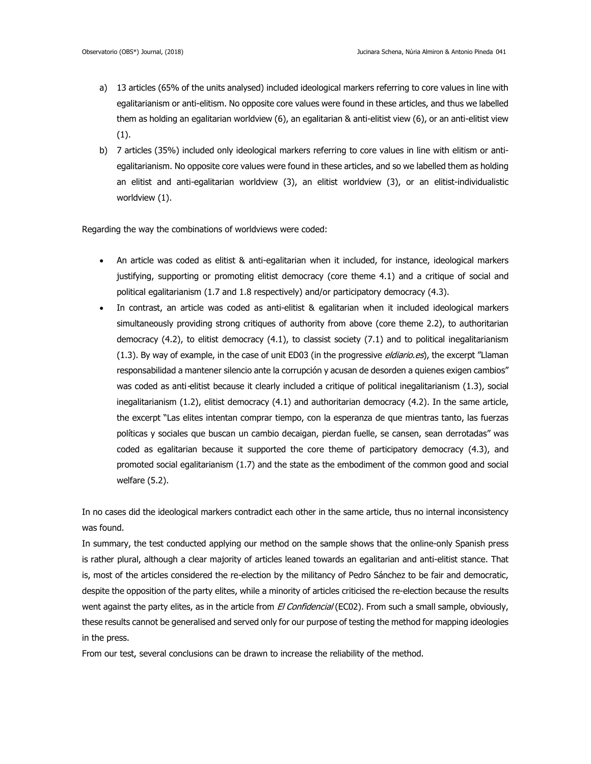- a) 13 articles (65% of the units analysed) included ideological markers referring to core values in line with egalitarianism or anti-elitism. No opposite core values were found in these articles, and thus we labelled them as holding an egalitarian worldview (6), an egalitarian & anti-elitist view (6), or an anti-elitist view (1).
- b) 7 articles (35%) included only ideological markers referring to core values in line with elitism or antiegalitarianism. No opposite core values were found in these articles, and so we labelled them as holding an elitist and anti-egalitarian worldview (3), an elitist worldview (3), or an elitist-individualistic worldview (1).

Regarding the way the combinations of worldviews were coded:

- An article was coded as elitist & anti-egalitarian when it included, for instance, ideological markers justifying, supporting or promoting elitist democracy (core theme 4.1) and a critique of social and political egalitarianism (1.7 and 1.8 respectively) and/or participatory democracy (4.3).
- In contrast, an article was coded as anti-elitist & egalitarian when it included ideological markers simultaneously providing strong critiques of authority from above (core theme 2.2), to authoritarian democracy (4.2), to elitist democracy (4.1), to classist society (7.1) and to political inegalitarianism (1.3). By way of example, in the case of unit ED03 (in the progressive eldiario.es), the excerpt "Llaman responsabilidad a mantener silencio ante la corrupción y acusan de desorden a quienes exigen cambios" was coded as anti-elitist because it clearly included a critique of political inegalitarianism (1.3), social inegalitarianism (1.2), elitist democracy (4.1) and authoritarian democracy (4.2). In the same article, the excerpt "Las elites intentan comprar tiempo, con la esperanza de que mientras tanto, las fuerzas políticas y sociales que buscan un cambio decaigan, pierdan fuelle, se cansen, sean derrotadas" was coded as egalitarian because it supported the core theme of participatory democracy (4.3), and promoted social egalitarianism (1.7) and the state as the embodiment of the common good and social welfare (5.2).

In no cases did the ideological markers contradict each other in the same article, thus no internal inconsistency was found.

In summary, the test conducted applying our method on the sample shows that the online-only Spanish press is rather plural, although a clear majority of articles leaned towards an egalitarian and anti-elitist stance. That is, most of the articles considered the re-election by the militancy of Pedro Sánchez to be fair and democratic, despite the opposition of the party elites, while a minority of articles criticised the re-election because the results went against the party elites, as in the article from El Confidencial (EC02). From such a small sample, obviously, these results cannot be generalised and served only for our purpose of testing the method for mapping ideologies in the press.

From our test, several conclusions can be drawn to increase the reliability of the method.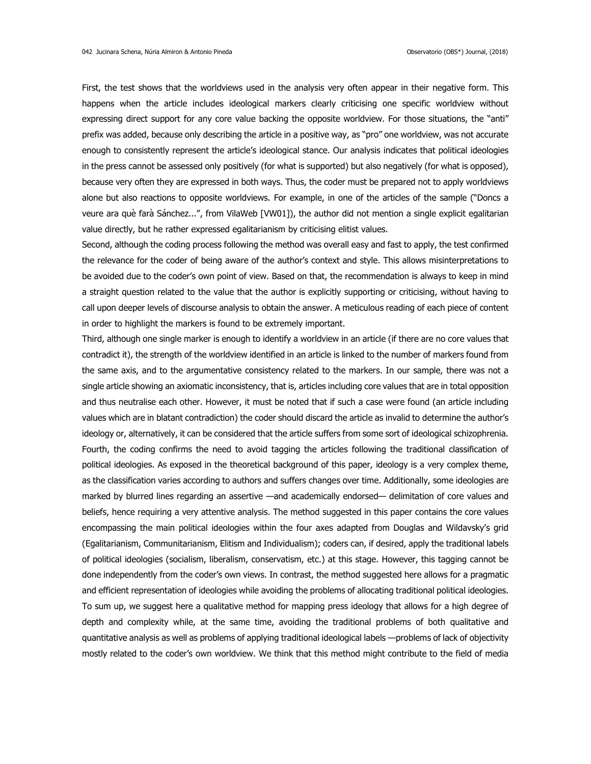First, the test shows that the worldviews used in the analysis very often appear in their negative form. This happens when the article includes ideological markers clearly criticising one specific worldview without expressing direct support for any core value backing the opposite worldview. For those situations, the "anti" prefix was added, because only describing the article in a positive way, as "pro" one worldview, was not accurate enough to consistently represent the article's ideological stance. Our analysis indicates that political ideologies in the press cannot be assessed only positively (for what is supported) but also negatively (for what is opposed), because very often they are expressed in both ways. Thus, the coder must be prepared not to apply worldviews alone but also reactions to opposite worldviews. For example, in one of the articles of the sample ("Doncs a veure ara què farà Sánchez...", from VilaWeb [VW01]), the author did not mention a single explicit egalitarian value directly, but he rather expressed egalitarianism by criticising elitist values.

Second, although the coding process following the method was overall easy and fast to apply, the test confirmed the relevance for the coder of being aware of the author's context and style. This allows misinterpretations to be avoided due to the coder's own point of view. Based on that, the recommendation is always to keep in mind a straight question related to the value that the author is explicitly supporting or criticising, without having to call upon deeper levels of discourse analysis to obtain the answer. A meticulous reading of each piece of content in order to highlight the markers is found to be extremely important.

Third, although one single marker is enough to identify a worldview in an article (if there are no core values that contradict it), the strength of the worldview identified in an article is linked to the number of markers found from the same axis, and to the argumentative consistency related to the markers. In our sample, there was not a single article showing an axiomatic inconsistency, that is, articles including core values that are in total opposition and thus neutralise each other. However, it must be noted that if such a case were found (an article including values which are in blatant contradiction) the coder should discard the article as invalid to determine the author's ideology or, alternatively, it can be considered that the article suffers from some sort of ideological schizophrenia. Fourth, the coding confirms the need to avoid tagging the articles following the traditional classification of political ideologies. As exposed in the theoretical background of this paper, ideology is a very complex theme, as the classification varies according to authors and suffers changes over time. Additionally, some ideologies are marked by blurred lines regarding an assertive —and academically endorsed— delimitation of core values and beliefs, hence requiring a very attentive analysis. The method suggested in this paper contains the core values encompassing the main political ideologies within the four axes adapted from Douglas and Wildavsky's grid (Egalitarianism, Communitarianism, Elitism and Individualism); coders can, if desired, apply the traditional labels of political ideologies (socialism, liberalism, conservatism, etc.) at this stage. However, this tagging cannot be done independently from the coder's own views. In contrast, the method suggested here allows for a pragmatic and efficient representation of ideologies while avoiding the problems of allocating traditional political ideologies. To sum up, we suggest here a qualitative method for mapping press ideology that allows for a high degree of depth and complexity while, at the same time, avoiding the traditional problems of both qualitative and quantitative analysis as well as problems of applying traditional ideological labels —problems of lack of objectivity mostly related to the coder's own worldview. We think that this method might contribute to the field of media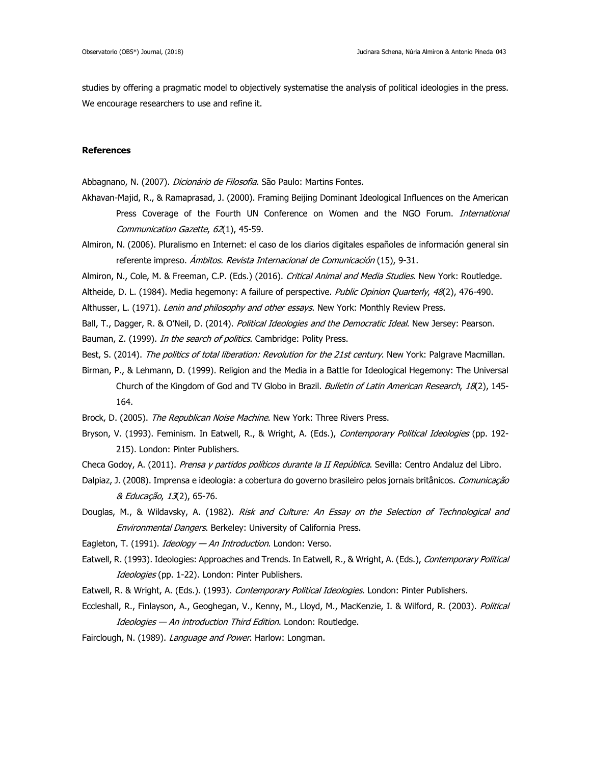studies by offering a pragmatic model to objectively systematise the analysis of political ideologies in the press. We encourage researchers to use and refine it.

## **References**

Abbagnano, N. (2007). Dicionário de Filosofia. São Paulo: Martins Fontes.

- Akhavan-Majid, R., & Ramaprasad, J. (2000). Framing Beijing Dominant Ideological Influences on the American Press Coverage of the Fourth UN Conference on Women and the NGO Forum. International Communication Gazette, 62(1), 45-59.
- Almiron, N. (2006). Pluralismo en Internet: el caso de los diarios digitales españoles de información general sin referente impreso. Ámbitos. Revista Internacional de Comunicación (15), 9-31.
- Almiron, N., Cole, M. & Freeman, C.P. (Eds.) (2016). Critical Animal and Media Studies. New York: Routledge.
- Altheide, D. L. (1984). Media hegemony: A failure of perspective. Public Opinion Quarterly, 48(2), 476-490.
- Althusser, L. (1971). Lenin and philosophy and other essays. New York: Monthly Review Press.
- Ball, T., Dagger, R. & O'Neil, D. (2014). Political Ideologies and the Democratic Ideal. New Jersey: Pearson.
- Bauman, Z. (1999). In the search of politics. Cambridge: Polity Press.
- Best, S. (2014). The politics of total liberation: Revolution for the 21st century. New York: Palgrave Macmillan.
- Birman, P., & Lehmann, D. (1999). Religion and the Media in a Battle for Ideological Hegemony: The Universal Church of the Kingdom of God and TV Globo in Brazil. Bulletin of Latin American Research, 18(2), 145-164.
- Brock, D. (2005). The Republican Noise Machine. New York: Three Rivers Press.
- Bryson, V. (1993). Feminism. In Eatwell, R., & Wright, A. (Eds.), Contemporary Political Ideologies (pp. 192-215). London: Pinter Publishers.
- Checa Godoy, A. (2011). Prensa y partidos políticos durante la II República. Sevilla: Centro Andaluz del Libro.
- Dalpiaz, J. (2008). Imprensa e ideologia: a cobertura do governo brasileiro pelos jornais britânicos. Comunicação & Educação, 13(2), 65-76.
- Douglas, M., & Wildavsky, A. (1982). Risk and Culture: An Essay on the Selection of Technological and Environmental Dangers. Berkeley: University of California Press.
- Eagleton, T. (1991). *Ideology An Introduction*. London: Verso.
- Eatwell, R. (1993). Ideologies: Approaches and Trends. In Eatwell, R., & Wright, A. (Eds.), Contemporary Political Ideologies (pp. 1-22). London: Pinter Publishers.
- Eatwell, R. & Wright, A. (Eds.). (1993). Contemporary Political Ideologies. London: Pinter Publishers.
- Eccleshall, R., Finlayson, A., Geoghegan, V., Kenny, M., Lloyd, M., MacKenzie, I. & Wilford, R. (2003). Political Ideologies - An introduction Third Edition. London: Routledge.
- Fairclough, N. (1989). Language and Power. Harlow: Longman.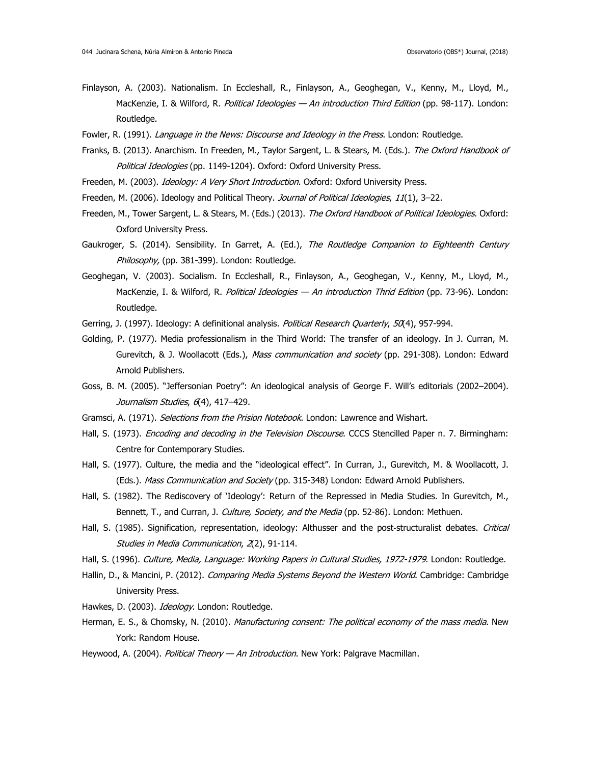- Finlayson, A. (2003). Nationalism. In Eccleshall, R., Finlayson, A., Geoghegan, V., Kenny, M., Lloyd, M., MacKenzie, I. & Wilford, R. Political Ideologies - An introduction Third Edition (pp. 98-117). London: Routledge.
- Fowler, R. (1991). Language in the News: Discourse and Ideology in the Press. London: Routledge.
- Franks, B. (2013). Anarchism. In Freeden, M., Taylor Sargent, L. & Stears, M. (Eds.). The Oxford Handbook of Political Ideologies (pp. 1149-1204). Oxford: Oxford University Press.
- Freeden, M. (2003). *Ideology: A Very Short Introduction*. Oxford: Oxford University Press.
- Freeden, M. (2006). Ideology and Political Theory. Journal of Political Ideologies, 11(1), 3-22.
- Freeden, M., Tower Sargent, L. & Stears, M. (Eds.) (2013). The Oxford Handbook of Political Ideologies. Oxford: Oxford University Press.
- Gaukroger, S. (2014). Sensibility. In Garret, A. (Ed.), The Routledge Companion to Eighteenth Century Philosophy, (pp. 381-399). London: Routledge.
- Geoghegan, V. (2003). Socialism. In Eccleshall, R., Finlayson, A., Geoghegan, V., Kenny, M., Lloyd, M., MacKenzie, I. & Wilford, R. Political Ideologies - An introduction Thrid Edition (pp. 73-96). London: Routledge.
- Gerring, J. (1997). Ideology: A definitional analysis. Political Research Quarterly, 50(4), 957-994.
- Golding, P. (1977). Media professionalism in the Third World: The transfer of an ideology. In J. Curran, M. Gurevitch, & J. Woollacott (Eds.), Mass communication and society (pp. 291-308). London: Edward Arnold Publishers.
- Goss, B. M. (2005). "Jeffersonian Poetry": An ideological analysis of George F. Will's editorials (2002-2004). Journalism Studies, 6(4), 417-429.
- Gramsci, A. (1971). Selections from the Prision Notebook. London: Lawrence and Wishart.
- Hall, S. (1973). *Encoding and decoding in the Television Discourse*. CCCS Stencilled Paper n. 7. Birmingham: Centre for Contemporary Studies.
- Hall, S. (1977). Culture, the media and the "ideological effect". In Curran, J., Gurevitch, M. & Woollacott, J. (Eds.). Mass Communication and Society (pp. 315-348) London: Edward Arnold Publishers.
- Hall, S. (1982). The Rediscovery of 'Ideology': Return of the Repressed in Media Studies. In Gurevitch, M., Bennett, T., and Curran, J. Culture, Society, and the Media (pp. 52-86). London: Methuen.
- Hall, S. (1985). Signification, representation, ideology: Althusser and the post-structuralist debates. Critical Studies in Media Communication, 2(2), 91-114.
- Hall, S. (1996). Culture, Media, Language: Working Papers in Cultural Studies, 1972-1979. London: Routledge.
- Hallin, D., & Mancini, P. (2012). Comparing Media Systems Beyond the Western World. Cambridge: Cambridge University Press.
- Hawkes, D. (2003). Ideology. London: Routledge.
- Herman, E. S., & Chomsky, N. (2010). *Manufacturing consent: The political economy of the mass media*. New York: Random House.
- Heywood, A. (2004). Political Theory An Introduction. New York: Palgrave Macmillan.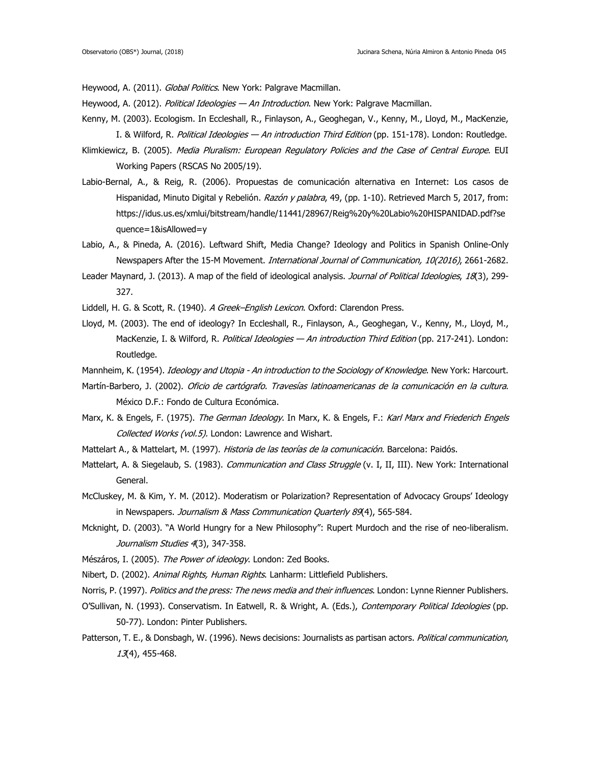Heywood, A. (2011). Global Politics. New York: Palgrave Macmillan.

- Heywood, A. (2012). Political Ideologies An Introduction. New York: Palgrave Macmillan.
- Kenny, M. (2003). Ecologism. In Eccleshall, R., Finlayson, A., Geoghegan, V., Kenny, M., Lloyd, M., MacKenzie, I. & Wilford, R. Political Ideologies - An introduction Third Edition (pp. 151-178). London: Routledge.
- Klimkiewicz, B. (2005). Media Pluralism: European Regulatory Policies and the Case of Central Europe. EUI Working Papers (RSCAS No 2005/19).
- Labio-Bernal, A., & Reig, R. (2006). Propuestas de comunicación alternativa en Internet: Los casos de Hispanidad, Minuto Digital y Rebelión. Razón y palabra, 49, (pp. 1-10). Retrieved March 5, 2017, from: [https://idus.us.es/xmlui/bitstream/handle/11441/28967/Reig%20y%20Labio%20HISPANIDAD.pdf?se](https://idus.us.es/xmlui/bitstream/handle/11441/28967/Reig%2525252520y%2525252520Labio%2525252520HISPANIDAD.pdf?sequence=1&isAllowed=y) [quence=1&isAllowed=y](https://idus.us.es/xmlui/bitstream/handle/11441/28967/Reig%2525252520y%2525252520Labio%2525252520HISPANIDAD.pdf?sequence=1&isAllowed=y)
- Labio, A., & Pineda, A. (2016). Leftward Shift, Media Change? Ideology and Politics in Spanish Online-Only Newspapers After the 15-M Movement. International Journal of Communication, 10(2016), 2661-2682.
- Leader Maynard, J. (2013). A map of the field of ideological analysis. Journal of Political Ideologies, 18(3), 299-327.
- Liddell, H. G. & Scott, R. (1940). A Greek-English Lexicon. Oxford: Clarendon Press.
- Lloyd, M. (2003). The end of ideology? In Eccleshall, R., Finlayson, A., Geoghegan, V., Kenny, M., Lloyd, M., MacKenzie, I. & Wilford, R. Political Ideologies - An introduction Third Edition (pp. 217-241). London: Routledge.
- Mannheim, K. (1954). *Ideology and Utopia An introduction to the Sociology of Knowledge*. New York: Harcourt.
- Martín-Barbero, J. (2002). Oficio de cartógrafo. Travesías latinoamericanas de la comunicación en la cultura. México D.F.: Fondo de Cultura Económica.
- Marx, K. & Engels, F. (1975). The German Ideology. In Marx, K. & Engels, F.: Karl Marx and Friederich Engels Collected Works (vol.5). London: Lawrence and Wishart.
- Mattelart A., & Mattelart, M. (1997). Historia de las teorías de la comunicación. Barcelona: Paidós.
- Mattelart, A. & Siegelaub, S. (1983). *Communication and Class Struggle* (v. I, II, III). New York: International General.
- McCluskey, M. & Kim, Y. M. (2012). Moderatism or Polarization? Representation of Advocacy Groups' Ideology in Newspapers. Journalism & Mass Communication Quarterly 89(4), 565-584.
- Mcknight, D. (2003). "A World Hungry for a New Philosophy": Rupert Murdoch and the rise of neo-liberalism. Journalism Studies 4(3), 347-358.
- Mészáros, I. (2005). The Power of ideology. London: Zed Books.
- Nibert, D. (2002). Animal Rights, Human Rights. Lanharm: Littlefield Publishers.
- Norris, P. (1997). Politics and the press: The news media and their influences. London: Lynne Rienner Publishers.
- O'Sullivan, N. (1993). Conservatism. In Eatwell, R. & Wright, A. (Eds.), Contemporary Political Ideologies (pp. 50-77). London: Pinter Publishers.
- Patterson, T. E., & Donsbagh, W. (1996). News decisions: Journalists as partisan actors. Political communication, 13(4), 455-468.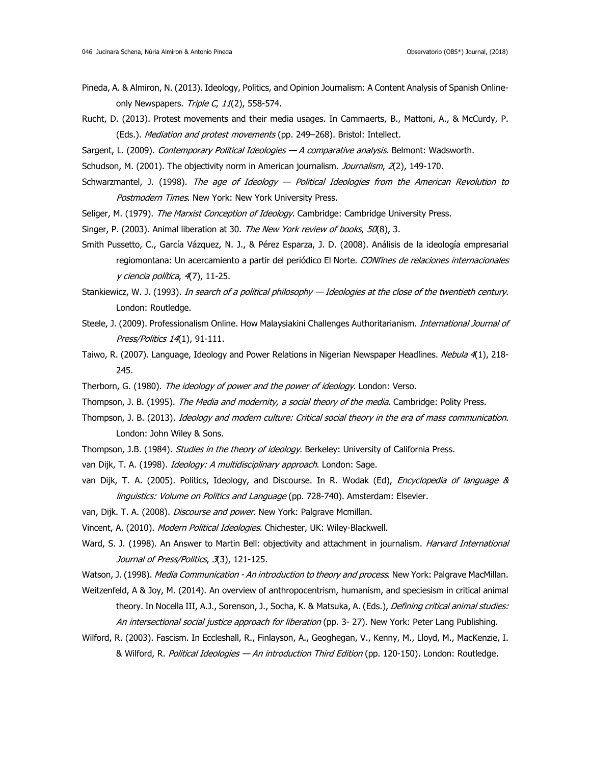- Pineda, A. & Almiron, N. (2013). Ideology, Politics, and Opinion Journalism: A Content Analysis of Spanish Onlineonly Newspapers. Triple C,  $11(2)$ , 558-574.
- Rucht, D. (2013). Protest movements and their media usages. In Cammaerts, B., Mattoni, A., & McCurdy, P. (Eds.). Mediation and protest movements (pp. 249-268). Bristol: Intellect.
- Sargent, L. (2009). Contemporary Political Ideologies A comparative analysis. Belmont: Wadsworth.
- Schudson, M. (2001). The objectivity norm in American journalism. Journalism, 2(2), 149-170.
- Schwarzmantel, J. (1998). The age of Ideology Political Ideologies from the American Revolution to Postmodern Times. New York: New York University Press.
- Seliger, M. (1979). The Marxist Conception of Ideology. Cambridge: Cambridge University Press.
- Singer, P. (2003). Animal liberation at 30. The New York review of books, 50(8), 3.
- Smith Pussetto, C., García Vázquez, N. J., & Pérez Esparza, J. D. (2008). Análisis de la ideología empresarial regiomontana: Un acercamiento a partir del periódico El Norte. CONfines de relaciones internacionales y ciencia política, 4(7), 11-25.
- Stankiewicz, W. J. (1993). In search of a political philosophy Ideologies at the close of the twentieth century. London: Routledge.
- Steele, J. (2009). Professionalism Online. How Malaysiakini Challenges Authoritarianism. *International Journal of* Press/Politics 14(1), 91-111.
- Taiwo, R. (2007). Language, Ideology and Power Relations in Nigerian Newspaper Headlines. Nebula 4(1), 218-245.
- Therborn, G. (1980). The ideology of power and the power of ideology. London: Verso.
- Thompson, J. B. (1995). The Media and modernity, a social theory of the media. Cambridge: Polity Press.
- Thompson, J. B. (2013). Ideology and modern culture: Critical social theory in the era of mass communication. London: John Wiley & Sons.
- Thompson, J.B. (1984). Studies in the theory of ideology. Berkeley: University of California Press.
- van Dijk, T. A. (1998). Ideology: A multidisciplinary approach. London: Sage.
- van Dijk, T. A. (2005). Politics, Ideology, and Discourse. In R. Wodak (Ed), *Encyclopedia of language &* linguistics: Volume on Politics and Language (pp. 728-740). Amsterdam: Elsevier.
- van, Dijk. T. A. (2008). *Discourse and power*. New York: Palgrave Mcmillan.
- Vincent, A. (2010). Modern Political Ideologies. Chichester, UK: Wiley-Blackwell.
- Ward, S. J. (1998). An Answer to Martin Bell: objectivity and attachment in journalism. Harvard International Journal of Press/Politics, 3(3), 121-125.
- Watson, J. (1998). Media Communication An introduction to theory and process. New York: Palgrave MacMillan.
- Weitzenfeld, A & Joy, M. (2014). An overview of anthropocentrism, humanism, and speciesism in critical animal theory. In Nocella III, A.J., Sorenson, J., Socha, K. & Matsuka, A. (Eds.), *Defining critical animal studies:* An intersectional social justice approach for liberation (pp. 3- 27). New York: Peter Lang Publishing.
- Wilford, R. (2003). Fascism. In Eccleshall, R., Finlayson, A., Geoghegan, V., Kenny, M., Lloyd, M., MacKenzie, I. & Wilford, R. Political Ideologies — An introduction Third Edition (pp. 120-150). London: Routledge.